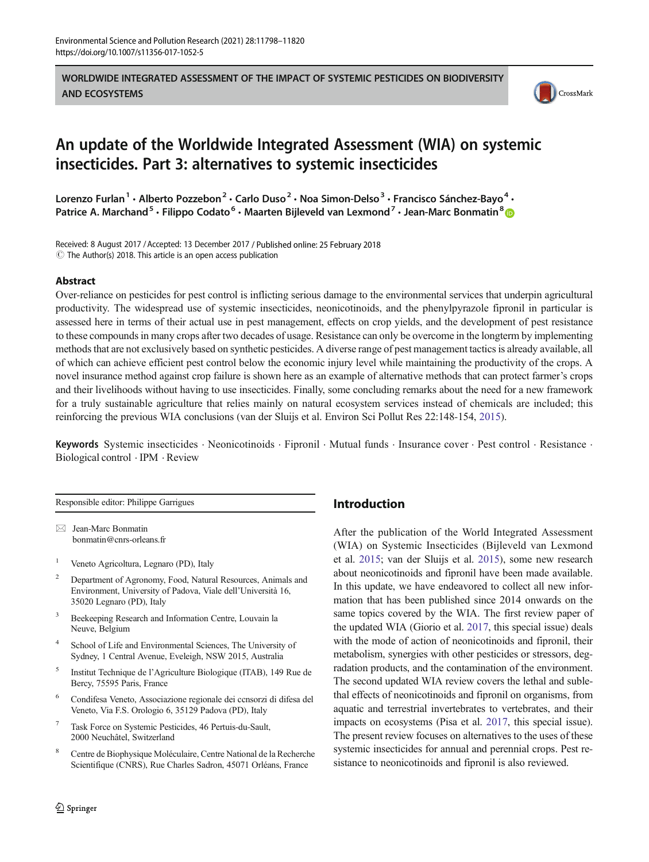WORLDWIDE INTEGRATED ASSESSMENT OF THE IMPACT OF SYSTEMIC PESTICIDES ON BIODIVERSITY AND ECOSYSTEMS



# An update of the Worldwide Integrated Assessment (WIA) on systemic insecticides. Part 3: alternatives to systemic insecticides

Lorenzo Furlan<sup>1</sup> • Alberto Pozzebon<sup>2</sup> • Carlo Duso<sup>2</sup> • Noa Simon-Delso<sup>3</sup> • Francisco Sánchez-Bayo<sup>4</sup> • Patrice A. Marchand<sup>5</sup> · Filippo Codato<sup>6</sup> · Maarten Bijleveld van Lexmond<sup>7</sup> · Jean-Marc Bonmatin<sup>8</sup>

Received: 8 August 2017 / Accepted: 13 December 2017 / Published online: 25 February 2018  $\odot$  The Author(s) 2018. This article is an open access publication

## Abstract

Over-reliance on pesticides for pest control is inflicting serious damage to the environmental services that underpin agricultural productivity. The widespread use of systemic insecticides, neonicotinoids, and the phenylpyrazole fipronil in particular is assessed here in terms of their actual use in pest management, effects on crop yields, and the development of pest resistance to these compounds in many crops after two decades of usage. Resistance can only be overcome in the longterm by implementing methods that are not exclusively based on synthetic pesticides. A diverse range of pest management tactics is already available, all of which can achieve efficient pest control below the economic injury level while maintaining the productivity of the crops. A novel insurance method against crop failure is shown here as an example of alternative methods that can protect farmer's crops and their livelihoods without having to use insecticides. Finally, some concluding remarks about the need for a new framework for a truly sustainable agriculture that relies mainly on natural ecosystem services instead of chemicals are included; this reinforcing the previous WIA conclusions (van der Sluijs et al. Environ Sci Pollut Res 22:148-154, [2015\)](#page-22-0).

Keywords Systemic insecticides . Neonicotinoids . Fipronil . Mutual funds . Insurance cover . Pest control . Resistance . Biological control . IPM . Review

Responsible editor: Philippe Garrigues

 $\boxtimes$  Jean-Marc Bonmatin [bonmatin@cnrs-orleans.fr](mailto:bonmatin@cnrsrleans.fr)

- <sup>1</sup> Veneto Agricoltura, Legnaro (PD), Italy
- <sup>2</sup> Department of Agronomy, Food, Natural Resources, Animals and Environment, University of Padova, Viale dell'Università 16, 35020 Legnaro (PD), Italy
- <sup>3</sup> Beekeeping Research and Information Centre, Louvain la Neuve, Belgium
- <sup>4</sup> School of Life and Environmental Sciences, The University of Sydney, 1 Central Avenue, Eveleigh, NSW 2015, Australia
- <sup>5</sup> Institut Technique de l'Agriculture Biologique (ITAB), 149 Rue de Bercy, 75595 Paris, France
- <sup>6</sup> Condifesa Veneto, Associazione regionale dei ccnsorzi di difesa del Veneto, Via F.S. Orologio 6, 35129 Padova (PD), Italy
- <sup>7</sup> Task Force on Systemic Pesticides, 46 Pertuis-du-Sault, 2000 Neuchâtel, Switzerland
- <sup>8</sup> Centre de Biophysique Moléculaire, Centre National de la Recherche Scientifique (CNRS), Rue Charles Sadron, 45071 Orléans, France

# Introduction

After the publication of the World Integrated Assessment (WIA) on Systemic Insecticides (Bijleveld van Lexmond et al. [2015](#page-16-0); van der Sluijs et al. [2015\)](#page-22-0), some new research about neonicotinoids and fipronil have been made available. In this update, we have endeavored to collect all new information that has been published since 2014 onwards on the same topics covered by the WIA. The first review paper of the updated WIA (Giorio et al. [2017](#page-18-0), this special issue) deals with the mode of action of neonicotinoids and fipronil, their metabolism, synergies with other pesticides or stressors, degradation products, and the contamination of the environment. The second updated WIA review covers the lethal and sublethal effects of neonicotinoids and fipronil on organisms, from aquatic and terrestrial invertebrates to vertebrates, and their impacts on ecosystems (Pisa et al. [2017,](#page-20-0) this special issue). The present review focuses on alternatives to the uses of these systemic insecticides for annual and perennial crops. Pest resistance to neonicotinoids and fipronil is also reviewed.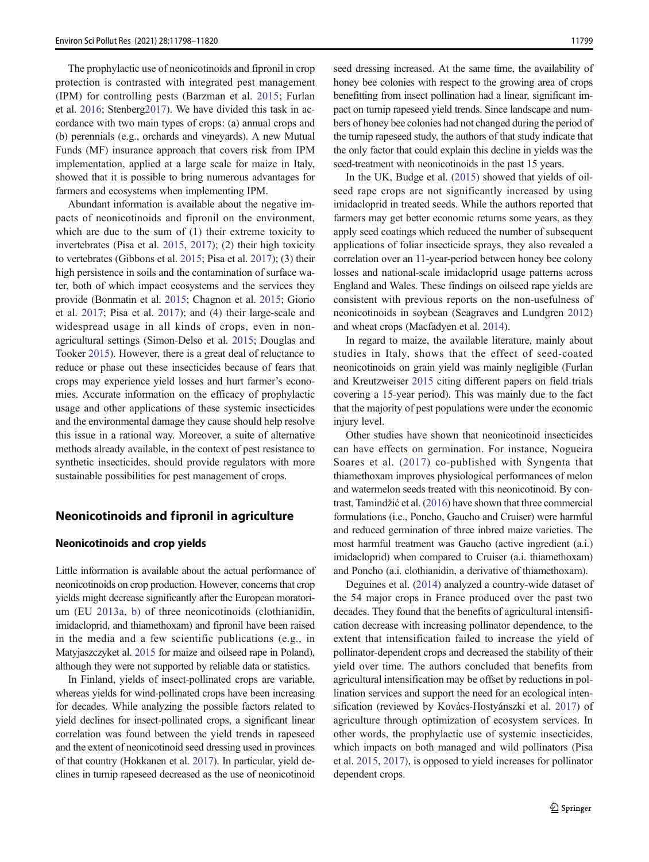The prophylactic use of neonicotinoids and fipronil in crop protection is contrasted with integrated pest management (IPM) for controlling pests (Barzman et al. [2015](#page-16-0); Furlan et al. [2016](#page-18-0); Stenber[g2017\)](#page-21-0). We have divided this task in accordance with two main types of crops: (a) annual crops and (b) perennials (e.g., orchards and vineyards). A new Mutual Funds (MF) insurance approach that covers risk from IPM implementation, applied at a large scale for maize in Italy, showed that it is possible to bring numerous advantages for farmers and ecosystems when implementing IPM.

Abundant information is available about the negative impacts of neonicotinoids and fipronil on the environment, which are due to the sum of (1) their extreme toxicity to invertebrates (Pisa et al. [2015](#page-20-0), [2017](#page-20-0)); (2) their high toxicity to vertebrates (Gibbons et al. [2015](#page-18-0); Pisa et al. [2017\)](#page-20-0); (3) their high persistence in soils and the contamination of surface water, both of which impact ecosystems and the services they provide (Bonmatin et al. [2015](#page-16-0); Chagnon et al. [2015;](#page-17-0) Giorio et al. [2017;](#page-18-0) Pisa et al. [2017\)](#page-20-0); and (4) their large-scale and widespread usage in all kinds of crops, even in nonagricultural settings (Simon-Delso et al. [2015;](#page-21-0) Douglas and Tooker [2015\)](#page-17-0). However, there is a great deal of reluctance to reduce or phase out these insecticides because of fears that crops may experience yield losses and hurt farmer's economies. Accurate information on the efficacy of prophylactic usage and other applications of these systemic insecticides and the environmental damage they cause should help resolve this issue in a rational way. Moreover, a suite of alternative methods already available, in the context of pest resistance to synthetic insecticides, should provide regulators with more sustainable possibilities for pest management of crops.

# Neonicotinoids and fipronil in agriculture

## Neonicotinoids and crop yields

Little information is available about the actual performance of neonicotinoids on crop production. However, concerns that crop yields might decrease significantly after the European moratorium (EU [2013a,](#page-18-0) [b\)](#page-18-0) of three neonicotinoids (clothianidin, imidacloprid, and thiamethoxam) and fipronil have been raised in the media and a few scientific publications (e.g., in Matyjaszczyket al. [2015](#page-20-0) for maize and oilseed rape in Poland), although they were not supported by reliable data or statistics.

In Finland, yields of insect-pollinated crops are variable, whereas yields for wind-pollinated crops have been increasing for decades. While analyzing the possible factors related to yield declines for insect-pollinated crops, a significant linear correlation was found between the yield trends in rapeseed and the extent of neonicotinoid seed dressing used in provinces of that country (Hokkanen et al. [2017\)](#page-18-0). In particular, yield declines in turnip rapeseed decreased as the use of neonicotinoid seed dressing increased. At the same time, the availability of honey bee colonies with respect to the growing area of crops benefitting from insect pollination had a linear, significant impact on turnip rapeseed yield trends. Since landscape and numbers of honey bee colonies had not changed during the period of the turnip rapeseed study, the authors of that study indicate that the only factor that could explain this decline in yields was the seed-treatment with neonicotinoids in the past 15 years.

In the UK, Budge et al. [\(2015\)](#page-16-0) showed that yields of oilseed rape crops are not significantly increased by using imidacloprid in treated seeds. While the authors reported that farmers may get better economic returns some years, as they apply seed coatings which reduced the number of subsequent applications of foliar insecticide sprays, they also revealed a correlation over an 11-year-period between honey bee colony losses and national-scale imidacloprid usage patterns across England and Wales. These findings on oilseed rape yields are consistent with previous reports on the non-usefulness of neonicotinoids in soybean (Seagraves and Lundgren [2012](#page-21-0)) and wheat crops (Macfadyen et al. [2014\)](#page-19-0).

In regard to maize, the available literature, mainly about studies in Italy, shows that the effect of seed-coated neonicotinoids on grain yield was mainly negligible (Furlan and Kreutzweiser [2015](#page-18-0) citing different papers on field trials covering a 15-year period). This was mainly due to the fact that the majority of pest populations were under the economic injury level.

Other studies have shown that neonicotinoid insecticides can have effects on germination. For instance, Nogueira Soares et al. ([2017\)](#page-20-0) co-published with Syngenta that thiamethoxam improves physiological performances of melon and watermelon seeds treated with this neonicotinoid. By contrast, Tamindžić et al. [\(2016](#page-21-0)) have shown that three commercial formulations (i.e., Poncho, Gaucho and Cruiser) were harmful and reduced germination of three inbred maize varieties. The most harmful treatment was Gaucho (active ingredient (a.i.) imidacloprid) when compared to Cruiser (a.i. thiamethoxam) and Poncho (a.i. clothianidin, a derivative of thiamethoxam).

Deguines et al. [\(2014\)](#page-17-0) analyzed a country-wide dataset of the 54 major crops in France produced over the past two decades. They found that the benefits of agricultural intensification decrease with increasing pollinator dependence, to the extent that intensification failed to increase the yield of pollinator-dependent crops and decreased the stability of their yield over time. The authors concluded that benefits from agricultural intensification may be offset by reductions in pollination services and support the need for an ecological intensification (reviewed by Kovács-Hostyánszki et al. [2017](#page-19-0)) of agriculture through optimization of ecosystem services. In other words, the prophylactic use of systemic insecticides, which impacts on both managed and wild pollinators (Pisa et al. [2015,](#page-20-0) [2017](#page-20-0)), is opposed to yield increases for pollinator dependent crops.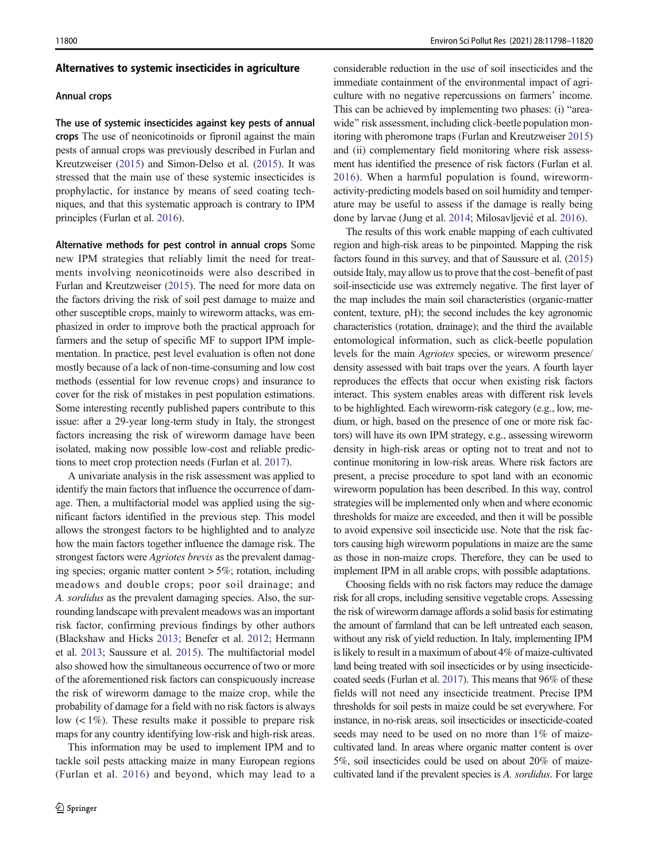#### Alternatives to systemic insecticides in agriculture

#### Annual crops

The use of systemic insecticides against key pests of annual crops The use of neonicotinoids or fipronil against the main pests of annual crops was previously described in Furlan and Kreutzweiser [\(2015](#page-18-0)) and Simon-Delso et al. ([2015](#page-21-0)). It was stressed that the main use of these systemic insecticides is prophylactic, for instance by means of seed coating techniques, and that this systematic approach is contrary to IPM principles (Furlan et al. [2016\)](#page-18-0).

Alternative methods for pest control in annual crops Some new IPM strategies that reliably limit the need for treatments involving neonicotinoids were also described in Furlan and Kreutzweiser [\(2015\)](#page-18-0). The need for more data on the factors driving the risk of soil pest damage to maize and other susceptible crops, mainly to wireworm attacks, was emphasized in order to improve both the practical approach for farmers and the setup of specific MF to support IPM implementation. In practice, pest level evaluation is often not done mostly because of a lack of non-time-consuming and low cost methods (essential for low revenue crops) and insurance to cover for the risk of mistakes in pest population estimations. Some interesting recently published papers contribute to this issue: after a 29-year long-term study in Italy, the strongest factors increasing the risk of wireworm damage have been isolated, making now possible low-cost and reliable predictions to meet crop protection needs (Furlan et al. [2017](#page-18-0)).

A univariate analysis in the risk assessment was applied to identify the main factors that influence the occurrence of damage. Then, a multifactorial model was applied using the significant factors identified in the previous step. This model allows the strongest factors to be highlighted and to analyze how the main factors together influence the damage risk. The strongest factors were Agriotes brevis as the prevalent damaging species; organic matter content  $> 5\%$ ; rotation, including meadows and double crops; poor soil drainage; and A. sordidus as the prevalent damaging species. Also, the surrounding landscape with prevalent meadows was an important risk factor, confirming previous findings by other authors (Blackshaw and Hicks [2013;](#page-16-0) Benefer et al. [2012;](#page-16-0) Hermann et al. [2013;](#page-18-0) Saussure et al. [2015](#page-21-0)). The multifactorial model also showed how the simultaneous occurrence of two or more of the aforementioned risk factors can conspicuously increase the risk of wireworm damage to the maize crop, while the probability of damage for a field with no risk factors is always low  $\left($  < 1%). These results make it possible to prepare risk maps for any country identifying low-risk and high-risk areas.

This information may be used to implement IPM and to tackle soil pests attacking maize in many European regions (Furlan et al. [2016\)](#page-18-0) and beyond, which may lead to a considerable reduction in the use of soil insecticides and the immediate containment of the environmental impact of agriculture with no negative repercussions on farmers' income. This can be achieved by implementing two phases: (i) "areawide" risk assessment, including click-beetle population monitoring with pheromone traps (Furlan and Kreutzweiser [2015\)](#page-18-0) and (ii) complementary field monitoring where risk assessment has identified the presence of risk factors (Furlan et al. [2016\)](#page-18-0). When a harmful population is found, wirewormactivity-predicting models based on soil humidity and temperature may be useful to assess if the damage is really being done by larvae (Jung et al. [2014;](#page-19-0) Milosavljević et al. [2016\)](#page-20-0).

The results of this work enable mapping of each cultivated region and high-risk areas to be pinpointed. Mapping the risk factors found in this survey, and that of Saussure et al. ([2015\)](#page-21-0) outside Italy, may allow us to prove that the cost–benefit of past soil-insecticide use was extremely negative. The first layer of the map includes the main soil characteristics (organic-matter content, texture, pH); the second includes the key agronomic characteristics (rotation, drainage); and the third the available entomological information, such as click-beetle population levels for the main Agriotes species, or wireworm presence/ density assessed with bait traps over the years. A fourth layer reproduces the effects that occur when existing risk factors interact. This system enables areas with different risk levels to be highlighted. Each wireworm-risk category (e.g., low, medium, or high, based on the presence of one or more risk factors) will have its own IPM strategy, e.g., assessing wireworm density in high-risk areas or opting not to treat and not to continue monitoring in low-risk areas. Where risk factors are present, a precise procedure to spot land with an economic wireworm population has been described. In this way, control strategies will be implemented only when and where economic thresholds for maize are exceeded, and then it will be possible to avoid expensive soil insecticide use. Note that the risk factors causing high wireworm populations in maize are the same as those in non-maize crops. Therefore, they can be used to implement IPM in all arable crops, with possible adaptations.

Choosing fields with no risk factors may reduce the damage risk for all crops, including sensitive vegetable crops. Assessing the risk of wireworm damage affords a solid basis for estimating the amount of farmland that can be left untreated each season, without any risk of yield reduction. In Italy, implementing IPM is likely to result in a maximum of about 4% of maize-cultivated land being treated with soil insecticides or by using insecticidecoated seeds (Furlan et al. [2017](#page-18-0)). This means that 96% of these fields will not need any insecticide treatment. Precise IPM thresholds for soil pests in maize could be set everywhere. For instance, in no-risk areas, soil insecticides or insecticide-coated seeds may need to be used on no more than 1% of maizecultivated land. In areas where organic matter content is over 5%, soil insecticides could be used on about 20% of maizecultivated land if the prevalent species is A. sordidus. For large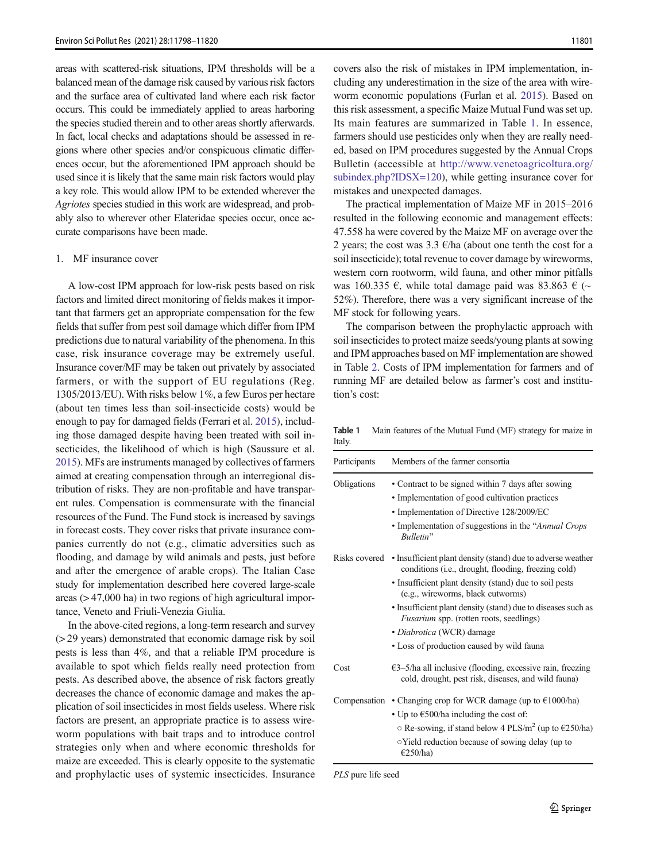areas with scattered-risk situations, IPM thresholds will be a balanced mean of the damage risk caused by various risk factors and the surface area of cultivated land where each risk factor occurs. This could be immediately applied to areas harboring the species studied therein and to other areas shortly afterwards. In fact, local checks and adaptations should be assessed in regions where other species and/or conspicuous climatic differences occur, but the aforementioned IPM approach should be used since it is likely that the same main risk factors would play a key role. This would allow IPM to be extended wherever the Agriotes species studied in this work are widespread, and probably also to wherever other Elateridae species occur, once accurate comparisons have been made.

#### 1. MF insurance cover

A low-cost IPM approach for low-risk pests based on risk factors and limited direct monitoring of fields makes it important that farmers get an appropriate compensation for the few fields that suffer from pest soil damage which differ from IPM predictions due to natural variability of the phenomena. In this case, risk insurance coverage may be extremely useful. Insurance cover/MF may be taken out privately by associated farmers, or with the support of EU regulations (Reg. 1305/2013/EU). With risks below 1%, a few Euros per hectare (about ten times less than soil-insecticide costs) would be enough to pay for damaged fields (Ferrari et al. [2015\)](#page-18-0), including those damaged despite having been treated with soil insecticides, the likelihood of which is high (Saussure et al. [2015\)](#page-21-0). MFs are instruments managed by collectives of farmers aimed at creating compensation through an interregional distribution of risks. They are non-profitable and have transparent rules. Compensation is commensurate with the financial resources of the Fund. The Fund stock is increased by savings in forecast costs. They cover risks that private insurance companies currently do not (e.g., climatic adversities such as flooding, and damage by wild animals and pests, just before and after the emergence of arable crops). The Italian Case study for implementation described here covered large-scale areas (> 47,000 ha) in two regions of high agricultural importance, Veneto and Friuli-Venezia Giulia.

In the above-cited regions, a long-term research and survey (> 29 years) demonstrated that economic damage risk by soil pests is less than 4%, and that a reliable IPM procedure is available to spot which fields really need protection from pests. As described above, the absence of risk factors greatly decreases the chance of economic damage and makes the application of soil insecticides in most fields useless. Where risk factors are present, an appropriate practice is to assess wireworm populations with bait traps and to introduce control strategies only when and where economic thresholds for maize are exceeded. This is clearly opposite to the systematic and prophylactic uses of systemic insecticides. Insurance covers also the risk of mistakes in IPM implementation, including any underestimation in the size of the area with wireworm economic populations (Furlan et al. [2015\)](#page-18-0). Based on this risk assessment, a specific Maize Mutual Fund was set up. Its main features are summarized in Table 1. In essence, farmers should use pesticides only when they are really needed, based on IPM procedures suggested by the Annual Crops Bulletin (accessible at [http://www.venetoagricoltura.org/](http://www.venetoagricoltura.org/subindex.php?IDSX=120) [subindex.php?IDSX=120](http://www.venetoagricoltura.org/subindex.php?IDSX=120)), while getting insurance cover for mistakes and unexpected damages.

The practical implementation of Maize MF in 2015–2016 resulted in the following economic and management effects: 47.558 ha were covered by the Maize MF on average over the 2 years; the cost was  $3.3 \text{ } \epsilon$ /ha (about one tenth the cost for a soil insecticide); total revenue to cover damage by wireworms, western corn rootworm, wild fauna, and other minor pitfalls was 160.335  $\epsilon$ , while total damage paid was 83.863  $\epsilon$  (~ 52%). Therefore, there was a very significant increase of the MF stock for following years.

The comparison between the prophylactic approach with soil insecticides to protect maize seeds/young plants at sowing and IPM approaches based on MF implementation are showed in Table [2](#page-4-0). Costs of IPM implementation for farmers and of running MF are detailed below as farmer's cost and institution's cost:

Table 1 Main features of the Mutual Fund (MF) strategy for maize in Italy.

| Participants | Members of the farmer consortia                                                                                                                   |
|--------------|---------------------------------------------------------------------------------------------------------------------------------------------------|
| Obligations  | • Contract to be signed within 7 days after sowing<br>• Implementation of good cultivation practices<br>• Implementation of Directive 128/2009/EC |
|              | • Implementation of suggestions in the "Annual Crops"<br><b>Bulletin</b> "                                                                        |
|              | Risks covered • Insufficient plant density (stand) due to adverse weather<br>conditions (i.e., drought, flooding, freezing cold)                  |
|              | • Insufficient plant density (stand) due to soil pests<br>(e.g., wireworms, black cutworms)                                                       |
|              | • Insufficient plant density (stand) due to diseases such as<br><i>Fusarium</i> spp. (rotten roots, seedlings)                                    |
|              | • <i>Diabrotica</i> (WCR) damage                                                                                                                  |
|              | • Loss of production caused by wild fauna                                                                                                         |
| Cost         | $\epsilon$ 3–5/ha all inclusive (flooding, excessive rain, freezing<br>cold, drought, pest risk, diseases, and wild fauna)                        |
|              | Compensation • Changing crop for WCR damage (up to €1000/ha)                                                                                      |
|              | • Up to $\epsilon$ 500/ha including the cost of:                                                                                                  |
|              | $\circ$ Re-sowing, if stand below 4 PLS/m <sup>2</sup> (up to $\epsilon$ 250/ha)                                                                  |
|              | ○Yield reduction because of sowing delay (up to<br>E250/ha                                                                                        |

PLS pure life seed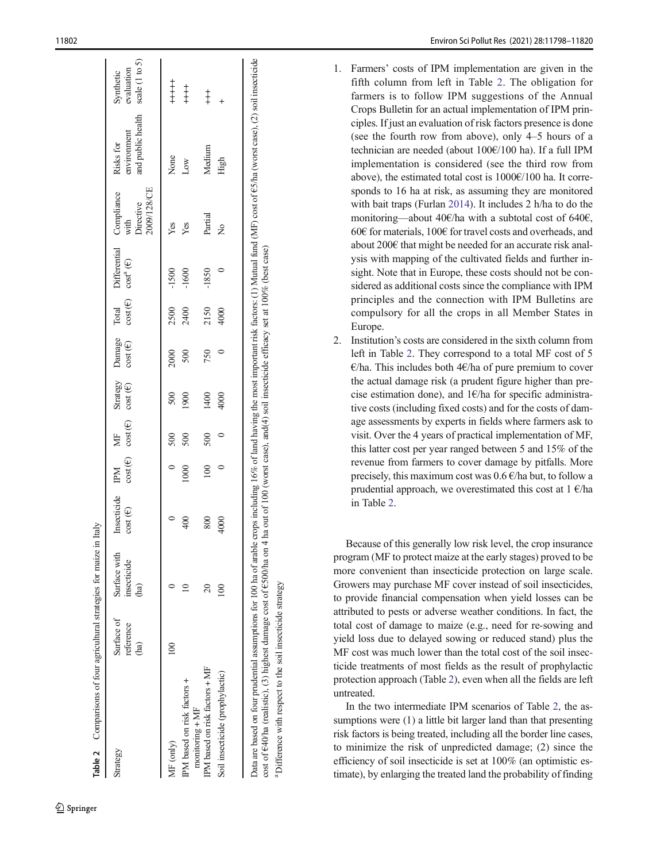<span id="page-4-0"></span>

| Strategy                                         | Surface of<br>reference<br>(ha) | Surface with<br>insecticide<br>ha) | Insecticide IPM<br>$cost(\mathcal{E})$ |           | $cost(\epsilon)$ cost $(\epsilon)$<br>MF | $cost(\mathbf{\Theta})$ | $cost$ ( $\in$ ) | Strategy Damage Total | Differential Compliance<br>$cost(\epsilon) \quad cost^a(\epsilon)$ | 2009/128/CE<br>Directive<br>with | and public health<br>environment<br>Risks for | scale (1 to 5)<br>evaluation<br>Synthetic |
|--------------------------------------------------|---------------------------------|------------------------------------|----------------------------------------|-----------|------------------------------------------|-------------------------|------------------|-----------------------|--------------------------------------------------------------------|----------------------------------|-----------------------------------------------|-------------------------------------------|
| MF (only)                                        |                                 |                                    |                                        |           | 500                                      | 500                     | 2000             | 2500                  | $-1500$                                                            | Yes                              | None                                          | $+ +$<br>$+ +$                            |
| IPM based on risk factors +<br>$monitoring + MF$ |                                 |                                    | $\frac{1}{2}$                          | 000       | 500                                      | 1900                    | 500              | 2400                  | $-1600$                                                            | Yes                              | Low                                           | $+$<br>$+$<br>$+$                         |
| IPM based on risk factors + MF                   |                                 | $\overline{20}$                    | $\rm{800}$                             | $\approx$ | 500                                      | 1400                    | 750              | 2150                  | $-1850$                                                            | Partial                          | Medium                                        | $\ddagger$                                |
| Soil insecticide (prophylactic)                  |                                 | 100                                | 4000                                   |           |                                          | 4000                    |                  | 4000                  |                                                                    | ž                                | High                                          | $\ddot{}$                                 |

a

<sup>a</sup> Difference with respect to the soil insecticide strategy

Difference with respect to the soil insecticide strategy

 $\mathcal{D}$  Springer

- 1. Farmers ' costs of IPM implementation are given in the fifth column from left in Table 2. The obligation for farmers is to follow IPM suggestions of the Annual Crops Bulletin for an actual implementation of IPM principles. If just an evaluation of risk factors presence is done (see the fourth row from above), only 4 –5 hours of a technician are needed (about 100 €/100 ha). If a full IPM implementation is considered (see the third row from above), the estimated total cost is 1000 €/100 ha. It corresponds to 16 ha at risk, as assuming they are monitored with bait traps (Furlan [2014](#page-18-0)). It includes 2 h/ha to do the monitoring—about 40€/ha with a subtotal cost of 640€, 60 € for materials, 100 € for travel costs and overheads, and about 200 € that might be needed for an accurate risk analysis with mapping of the cultivated fields and further insight. Note that in Europe, these costs should not be considered as additional costs since the compliance with IPM principles and the connection with IPM Bulletins are compulsory for all the crops in all Member States in Europe.
- 2. Institution 's costs are considered in the sixth column from left in Table 2. They correspond to a total MF cost of 5 €/ha. This includes both 4 €/ha of pure premium to cover the actual damage risk (a prudent figure higher than precise estimation done), and  $1 \in \mathbb{R}$  for specific administrative costs (including fixed costs) and for the costs of damage assessments by experts in fields where farmers ask to visit. Over the 4 years of practical implementation of MF, this latter cost per year ranged between 5 and 15% of the revenue from farmers to cover damage by pitfalls. More precisely, this maximum cost was 0.6 €/ha but, to follow a prudential approach, we overestimated this cost at 1 €/ha in Table 2 .

Because of this generally low risk level, the crop insurance program (MF to protect maize at the early stages) proved to be more convenient than insecticide protection on large scale. Growers may purchase MF cover instead of soil insecticides, to provide financial compensation when yield losses can be attributed to pests or adverse weather conditions. In fact, the total cost of damage to maize (e.g., need for re-sowing and yield loss due to delayed sowing or reduced stand) plus the MF cost was much lower than the total cost of the soil insecticide treatments of most fields as the result of prophylactic protection approach (Table 2), even when all the fields are left untreated.

In the two intermediate IPM scenarios of Table 2, the assumptions were (1) a little bit larger land than that presenting risk factors is being treated, including all the border line cases, to minimize the risk of unpredicted damage; (2) since the efficiency of soil insecticide is set at 100% (an optimistic estimate), by enlarging the treated land the probability of finding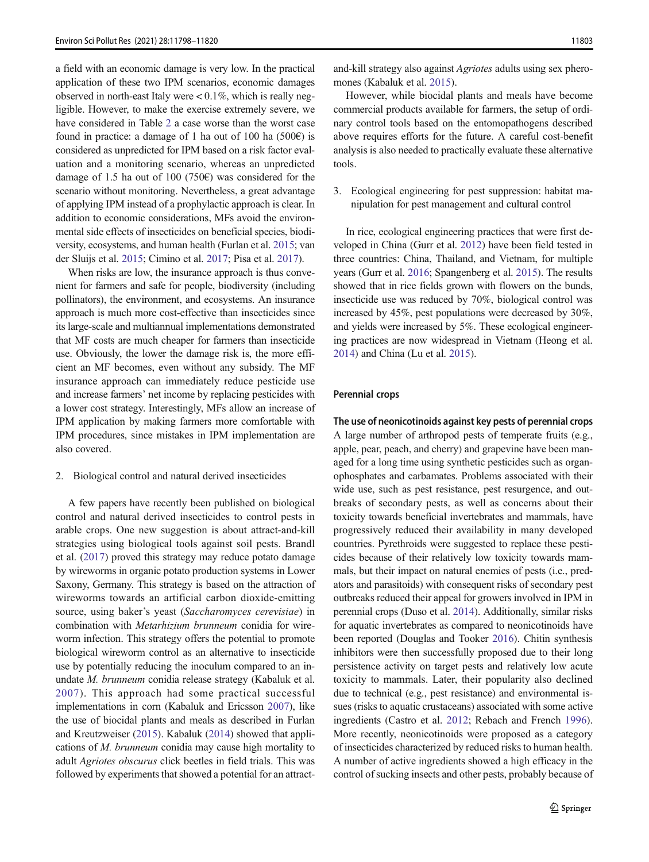a field with an economic damage is very low. In the practical application of these two IPM scenarios, economic damages observed in north-east Italy were  $< 0.1\%$ , which is really negligible. However, to make the exercise extremely severe, we have considered in Table [2](#page-4-0) a case worse than the worst case found in practice: a damage of 1 ha out of 100 ha (500 $\epsilon$ ) is considered as unpredicted for IPM based on a risk factor evaluation and a monitoring scenario, whereas an unpredicted damage of 1.5 ha out of 100 (750 $\varepsilon$ ) was considered for the scenario without monitoring. Nevertheless, a great advantage of applying IPM instead of a prophylactic approach is clear. In addition to economic considerations, MFs avoid the environmental side effects of insecticides on beneficial species, biodiversity, ecosystems, and human health (Furlan et al. [2015](#page-18-0); van der Sluijs et al. [2015](#page-22-0); Cimino et al. [2017](#page-17-0); Pisa et al. [2017\)](#page-20-0).

When risks are low, the insurance approach is thus convenient for farmers and safe for people, biodiversity (including pollinators), the environment, and ecosystems. An insurance approach is much more cost-effective than insecticides since its large-scale and multiannual implementations demonstrated that MF costs are much cheaper for farmers than insecticide use. Obviously, the lower the damage risk is, the more efficient an MF becomes, even without any subsidy. The MF insurance approach can immediately reduce pesticide use and increase farmers' net income by replacing pesticides with a lower cost strategy. Interestingly, MFs allow an increase of IPM application by making farmers more comfortable with IPM procedures, since mistakes in IPM implementation are also covered.

#### 2. Biological control and natural derived insecticides

A few papers have recently been published on biological control and natural derived insecticides to control pests in arable crops. One new suggestion is about attract-and-kill strategies using biological tools against soil pests. Brandl et al. ([2017](#page-16-0)) proved this strategy may reduce potato damage by wireworms in organic potato production systems in Lower Saxony, Germany. This strategy is based on the attraction of wireworms towards an artificial carbon dioxide-emitting source, using baker's yeast (Saccharomyces cerevisiae) in combination with Metarhizium brunneum conidia for wireworm infection. This strategy offers the potential to promote biological wireworm control as an alternative to insecticide use by potentially reducing the inoculum compared to an inundate M. brunneum conidia release strategy (Kabaluk et al. [2007](#page-19-0)). This approach had some practical successful implementations in corn (Kabaluk and Ericsson [2007](#page-19-0)), like the use of biocidal plants and meals as described in Furlan and Kreutzweiser [\(2015\)](#page-18-0). Kabaluk ([2014](#page-19-0)) showed that applications of M. brunneum conidia may cause high mortality to adult Agriotes obscurus click beetles in field trials. This was followed by experiments that showed a potential for an attractand-kill strategy also against Agriotes adults using sex pheromones (Kabaluk et al. [2015](#page-19-0)).

However, while biocidal plants and meals have become commercial products available for farmers, the setup of ordinary control tools based on the entomopathogens described above requires efforts for the future. A careful cost-benefit analysis is also needed to practically evaluate these alternative tools.

3. Ecological engineering for pest suppression: habitat manipulation for pest management and cultural control

In rice, ecological engineering practices that were first developed in China (Gurr et al. [2012](#page-18-0)) have been field tested in three countries: China, Thailand, and Vietnam, for multiple years (Gurr et al. [2016;](#page-18-0) Spangenberg et al. [2015](#page-21-0)). The results showed that in rice fields grown with flowers on the bunds, insecticide use was reduced by 70%, biological control was increased by 45%, pest populations were decreased by 30%, and yields were increased by 5%. These ecological engineering practices are now widespread in Vietnam (Heong et al. [2014\)](#page-18-0) and China (Lu et al. [2015\)](#page-19-0).

#### Perennial crops

The use of neonicotinoids against key pests of perennial crops A large number of arthropod pests of temperate fruits (e.g., apple, pear, peach, and cherry) and grapevine have been managed for a long time using synthetic pesticides such as organophosphates and carbamates. Problems associated with their wide use, such as pest resistance, pest resurgence, and outbreaks of secondary pests, as well as concerns about their toxicity towards beneficial invertebrates and mammals, have progressively reduced their availability in many developed countries. Pyrethroids were suggested to replace these pesticides because of their relatively low toxicity towards mammals, but their impact on natural enemies of pests (i.e., predators and parasitoids) with consequent risks of secondary pest outbreaks reduced their appeal for growers involved in IPM in perennial crops (Duso et al. [2014](#page-18-0)). Additionally, similar risks for aquatic invertebrates as compared to neonicotinoids have been reported (Douglas and Tooker [2016\)](#page-17-0). Chitin synthesis inhibitors were then successfully proposed due to their long persistence activity on target pests and relatively low acute toxicity to mammals. Later, their popularity also declined due to technical (e.g., pest resistance) and environmental issues (risks to aquatic crustaceans) associated with some active ingredients (Castro et al. [2012;](#page-17-0) Rebach and French [1996\)](#page-21-0). More recently, neonicotinoids were proposed as a category of insecticides characterized by reduced risks to human health. A number of active ingredients showed a high efficacy in the control of sucking insects and other pests, probably because of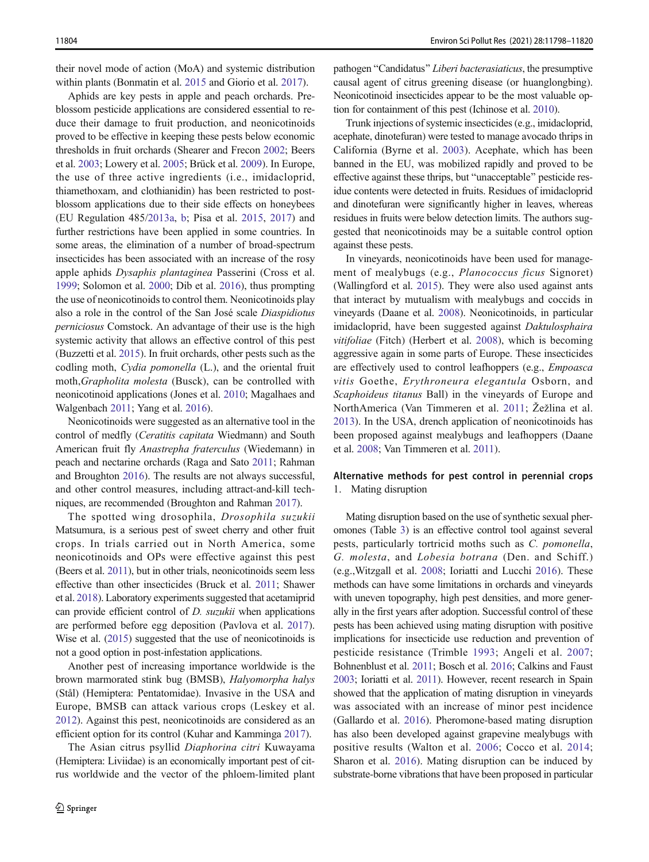their novel mode of action (MoA) and systemic distribution within plants (Bonmatin et al. [2015](#page-16-0) and Giorio et al. [2017\)](#page-18-0).

Aphids are key pests in apple and peach orchards. Preblossom pesticide applications are considered essential to reduce their damage to fruit production, and neonicotinoids proved to be effective in keeping these pests below economic thresholds in fruit orchards (Shearer and Frecon [2002](#page-21-0); Beers et al. [2003](#page-16-0); Lowery et al. [2005](#page-19-0); Brück et al. [2009](#page-16-0)). In Europe, the use of three active ingredients (i.e., imidacloprid, thiamethoxam, and clothianidin) has been restricted to postblossom applications due to their side effects on honeybees (EU Regulation 485/[2013a,](#page-18-0) [b](#page-18-0); Pisa et al. [2015,](#page-20-0) [2017\)](#page-20-0) and further restrictions have been applied in some countries. In some areas, the elimination of a number of broad-spectrum insecticides has been associated with an increase of the rosy apple aphids Dysaphis plantaginea Passerini (Cross et al. [1999;](#page-17-0) Solomon et al. [2000](#page-21-0); Dib et al. [2016\)](#page-17-0), thus prompting the use of neonicotinoids to control them. Neonicotinoids play also a role in the control of the San José scale Diaspidiotus perniciosus Comstock. An advantage of their use is the high systemic activity that allows an effective control of this pest (Buzzetti et al. [2015\)](#page-17-0). In fruit orchards, other pests such as the codling moth, Cydia pomonella (L.), and the oriental fruit moth,Grapholita molesta (Busck), can be controlled with neonicotinoid applications (Jones et al. [2010;](#page-19-0) Magalhaes and Walgenbach [2011;](#page-19-0) Yang et al. [2016\)](#page-22-0).

Neonicotinoids were suggested as an alternative tool in the control of medfly (Ceratitis capitata Wiedmann) and South American fruit fly Anastrepha fraterculus (Wiedemann) in peach and nectarine orchards (Raga and Sato [2011;](#page-20-0) Rahman and Broughton [2016](#page-21-0)). The results are not always successful, and other control measures, including attract-and-kill techniques, are recommended (Broughton and Rahman [2017](#page-16-0)).

The spotted wing drosophila, Drosophila suzukii Matsumura, is a serious pest of sweet cherry and other fruit crops. In trials carried out in North America, some neonicotinoids and OPs were effective against this pest (Beers et al. [2011\)](#page-16-0), but in other trials, neonicotinoids seem less effective than other insecticides (Bruck et al. [2011;](#page-16-0) Shawer et al. [2018\)](#page-21-0). Laboratory experiments suggested that acetamiprid can provide efficient control of D. suzukii when applications are performed before egg deposition (Pavlova et al. [2017](#page-20-0)). Wise et al. ([2015\)](#page-22-0) suggested that the use of neonicotinoids is not a good option in post-infestation applications.

Another pest of increasing importance worldwide is the brown marmorated stink bug (BMSB), Halyomorpha halys (Stål) (Hemiptera: Pentatomidae). Invasive in the USA and Europe, BMSB can attack various crops (Leskey et al. [2012\)](#page-19-0). Against this pest, neonicotinoids are considered as an efficient option for its control (Kuhar and Kamminga [2017\)](#page-19-0).

The Asian citrus psyllid Diaphorina citri Kuwayama (Hemiptera: Liviidae) is an economically important pest of citrus worldwide and the vector of the phloem-limited plant

pathogen "Candidatus" Liberi bacterasiaticus, the presumptive causal agent of citrus greening disease (or huanglongbing). Neonicotinoid insecticides appear to be the most valuable option for containment of this pest (Ichinose et al. [2010\)](#page-19-0).

Trunk injections of systemic insecticides (e.g., imidacloprid, acephate, dinotefuran) were tested to manage avocado thrips in California (Byrne et al. [2003](#page-17-0)). Acephate, which has been banned in the EU, was mobilized rapidly and proved to be effective against these thrips, but "unacceptable" pesticide residue contents were detected in fruits. Residues of imidacloprid and dinotefuran were significantly higher in leaves, whereas residues in fruits were below detection limits. The authors suggested that neonicotinoids may be a suitable control option against these pests.

In vineyards, neonicotinoids have been used for management of mealybugs (e.g., Planococcus ficus Signoret) (Wallingford et al. [2015](#page-22-0)). They were also used against ants that interact by mutualism with mealybugs and coccids in vineyards (Daane et al. [2008\)](#page-17-0). Neonicotinoids, in particular imidacloprid, have been suggested against Daktulosphaira vitifoliae (Fitch) (Herbert et al. [2008](#page-18-0)), which is becoming aggressive again in some parts of Europe. These insecticides are effectively used to control leafhoppers (e.g., Empoasca vitis Goethe, Erythroneura elegantula Osborn, and Scaphoideus titanus Ball) in the vineyards of Europe and NorthAmerica (Van Timmeren et al. [2011](#page-22-0); Žežlina et al. [2013\)](#page-22-0). In the USA, drench application of neonicotinoids has been proposed against mealybugs and leafhoppers (Daane et al. [2008](#page-17-0); Van Timmeren et al. [2011\)](#page-22-0).

## Alternative methods for pest control in perennial crops 1. Mating disruption

Mating disruption based on the use of synthetic sexual pheromones (Table [3](#page-7-0)) is an effective control tool against several pests, particularly tortricid moths such as C. pomonella, G. molesta, and Lobesia botrana (Den. and Schiff.) (e.g.,Witzgall et al. [2008](#page-22-0); Ioriatti and Lucchi [2016](#page-19-0)). These methods can have some limitations in orchards and vineyards with uneven topography, high pest densities, and more generally in the first years after adoption. Successful control of these pests has been achieved using mating disruption with positive implications for insecticide use reduction and prevention of pesticide resistance (Trimble [1993;](#page-22-0) Angeli et al. [2007;](#page-16-0) Bohnenblust et al. [2011](#page-16-0); Bosch et al. [2016;](#page-16-0) Calkins and Faust [2003](#page-17-0); Ioriatti et al. [2011](#page-19-0)). However, recent research in Spain showed that the application of mating disruption in vineyards was associated with an increase of minor pest incidence (Gallardo et al. [2016\)](#page-18-0). Pheromone-based mating disruption has also been developed against grapevine mealybugs with positive results (Walton et al. [2006;](#page-22-0) Cocco et al. [2014;](#page-17-0) Sharon et al. [2016](#page-21-0)). Mating disruption can be induced by substrate-borne vibrations that have been proposed in particular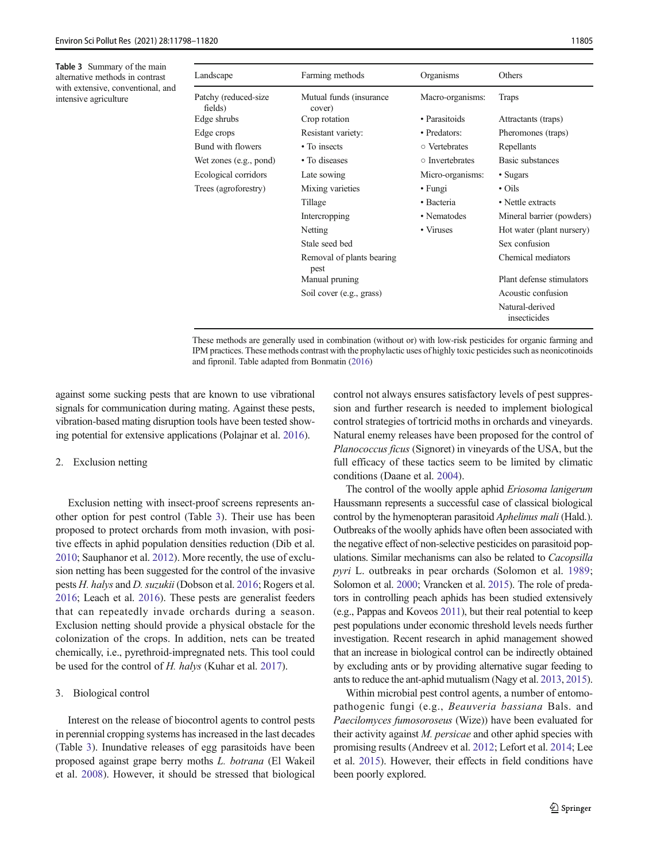<span id="page-7-0"></span>Table 3 Summary of the main alternative methods in contrast with extensive, conventional, and intensive agriculture

| Farming methods                   | Organisms        | Others                          |
|-----------------------------------|------------------|---------------------------------|
| Mutual funds (insurance<br>cover) | Macro-organisms: | Traps                           |
| Crop rotation                     | • Parasitoids    | Attractants (traps)             |
| Resistant variety:                | • Predators:     | Pheromones (traps)              |
| • To insects                      | ○ Vertebrates    | Repellants                      |
| • To diseases                     | o Invertebrates  | Basic substances                |
| Late sowing                       | Micro-organisms: | • Sugars                        |
| Mixing varieties                  | $\cdot$ Fungi    | $\cdot$ Oils                    |
| Tillage                           | • Bacteria       | • Nettle extracts               |
| Intercropping                     | • Nematodes      | Mineral barrier (powders)       |
| Netting                           | • Viruses        | Hot water (plant nursery)       |
| Stale seed bed                    |                  | Sex confusion                   |
| Removal of plants bearing<br>pest |                  | Chemical mediators              |
| Manual pruning                    |                  | Plant defense stimulators       |
| Soil cover (e.g., grass)          |                  | Acoustic confusion              |
|                                   |                  | Natural-derived<br>insecticides |
|                                   |                  |                                 |

These methods are generally used in combination (without or) with low-risk pesticides for organic farming and IPM practices. These methods contrast with the prophylactic uses of highly toxic pesticides such as neonicotinoids and fipronil. Table adapted from Bonmatin ([2016](#page-16-0))

against some sucking pests that are known to use vibrational signals for communication during mating. Against these pests, vibration-based mating disruption tools have been tested showing potential for extensive applications (Polajnar et al. [2016](#page-20-0)).

#### 2. Exclusion netting

Exclusion netting with insect-proof screens represents another option for pest control (Table 3). Their use has been proposed to protect orchards from moth invasion, with positive effects in aphid population densities reduction (Dib et al. [2010;](#page-17-0) Sauphanor et al. [2012](#page-21-0)). More recently, the use of exclusion netting has been suggested for the control of the invasive pests H. halys and D. suzukii (Dobson et al. [2016](#page-17-0); Rogers et al. [2016;](#page-21-0) Leach et al. [2016\)](#page-19-0). These pests are generalist feeders that can repeatedly invade orchards during a season. Exclusion netting should provide a physical obstacle for the colonization of the crops. In addition, nets can be treated chemically, i.e., pyrethroid-impregnated nets. This tool could be used for the control of H. halys (Kuhar et al. [2017\)](#page-19-0).

#### 3. Biological control

Interest on the release of biocontrol agents to control pests in perennial cropping systems has increased in the last decades (Table 3). Inundative releases of egg parasitoids have been proposed against grape berry moths L. botrana (El Wakeil et al. [2008\)](#page-18-0). However, it should be stressed that biological control not always ensures satisfactory levels of pest suppression and further research is needed to implement biological control strategies of tortricid moths in orchards and vineyards. Natural enemy releases have been proposed for the control of Planococcus ficus (Signoret) in vineyards of the USA, but the full efficacy of these tactics seem to be limited by climatic conditions (Daane et al. [2004\)](#page-17-0).

The control of the woolly apple aphid Eriosoma lanigerum Haussmann represents a successful case of classical biological control by the hymenopteran parasitoid Aphelinus mali (Hald.). Outbreaks of the woolly aphids have often been associated with the negative effect of non-selective pesticides on parasitoid populations. Similar mechanisms can also be related to Cacopsilla pyri L. outbreaks in pear orchards (Solomon et al. [1989;](#page-21-0) Solomon et al. [2000](#page-21-0); Vrancken et al. [2015](#page-22-0)). The role of predators in controlling peach aphids has been studied extensively (e.g., Pappas and Koveos [2011](#page-20-0)), but their real potential to keep pest populations under economic threshold levels needs further investigation. Recent research in aphid management showed that an increase in biological control can be indirectly obtained by excluding ants or by providing alternative sugar feeding to ants to reduce the ant-aphid mutualism (Nagy et al. [2013](#page-20-0), [2015\)](#page-20-0).

Within microbial pest control agents, a number of entomopathogenic fungi (e.g., Beauveria bassiana Bals. and Paecilomyces fumosoroseus (Wize)) have been evaluated for their activity against  $M$ . *persicae* and other aphid species with promising results (Andreev et al. [2012;](#page-16-0) Lefort et al. [2014;](#page-19-0) Lee et al. [2015](#page-19-0)). However, their effects in field conditions have been poorly explored.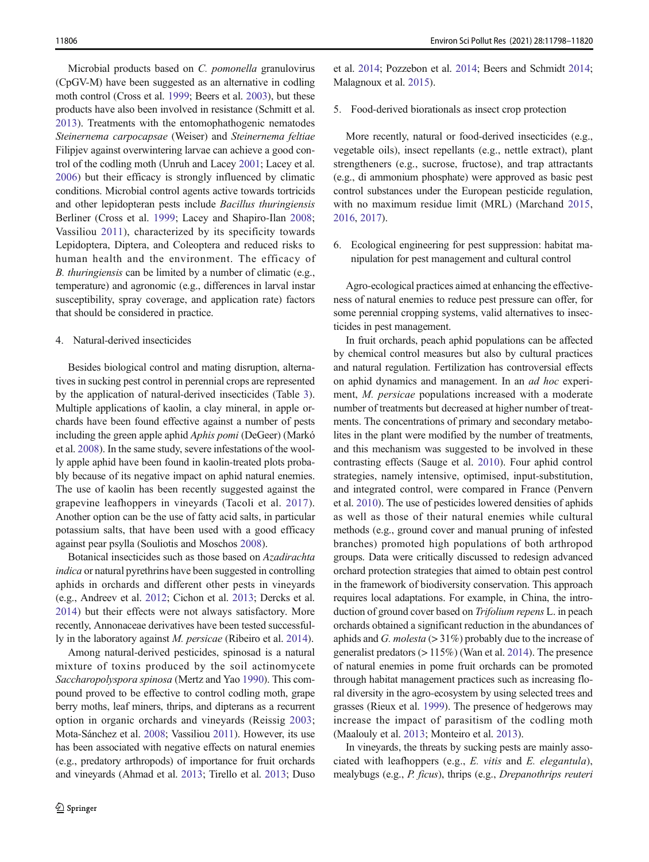Microbial products based on C. pomonella granulovirus (CpGV-M) have been suggested as an alternative in codling moth control (Cross et al. [1999;](#page-17-0) Beers et al. [2003\)](#page-16-0), but these products have also been involved in resistance (Schmitt et al. [2013\)](#page-21-0). Treatments with the entomophathogenic nematodes Steinernema carpocapsae (Weiser) and Steinernema feltiae Filipjev against overwintering larvae can achieve a good control of the codling moth (Unruh and Lacey [2001;](#page-22-0) Lacey et al. [2006\)](#page-19-0) but their efficacy is strongly influenced by climatic conditions. Microbial control agents active towards tortricids and other lepidopteran pests include Bacillus thuringiensis Berliner (Cross et al. [1999;](#page-17-0) Lacey and Shapiro-Ilan [2008](#page-19-0); Vassiliou [2011](#page-22-0)), characterized by its specificity towards Lepidoptera, Diptera, and Coleoptera and reduced risks to human health and the environment. The efficacy of B. thuringiensis can be limited by a number of climatic (e.g., temperature) and agronomic (e.g., differences in larval instar susceptibility, spray coverage, and application rate) factors that should be considered in practice.

#### 4. Natural-derived insecticides

Besides biological control and mating disruption, alternatives in sucking pest control in perennial crops are represented by the application of natural-derived insecticides (Table [3](#page-7-0)). Multiple applications of kaolin, a clay mineral, in apple orchards have been found effective against a number of pests including the green apple aphid Aphis pomi (DeGeer) (Markó et al. [2008\)](#page-20-0). In the same study, severe infestations of the woolly apple aphid have been found in kaolin-treated plots probably because of its negative impact on aphid natural enemies. The use of kaolin has been recently suggested against the grapevine leafhoppers in vineyards (Tacoli et al. [2017](#page-21-0)). Another option can be the use of fatty acid salts, in particular potassium salts, that have been used with a good efficacy against pear psylla (Souliotis and Moschos [2008](#page-21-0)).

Botanical insecticides such as those based on Azadirachta indica or natural pyrethrins have been suggested in controlling aphids in orchards and different other pests in vineyards (e.g., Andreev et al. [2012](#page-16-0); Cichon et al. [2013;](#page-17-0) Dercks et al. [2014\)](#page-17-0) but their effects were not always satisfactory. More recently, Annonaceae derivatives have been tested successfully in the laboratory against M. persicae (Ribeiro et al. [2014](#page-21-0)).

Among natural-derived pesticides, spinosad is a natural mixture of toxins produced by the soil actinomycete Saccharopolyspora spinosa (Mertz and Yao [1990](#page-20-0)). This compound proved to be effective to control codling moth, grape berry moths, leaf miners, thrips, and dipterans as a recurrent option in organic orchards and vineyards (Reissig [2003](#page-21-0); Mota-Sánchez et al. [2008;](#page-20-0) Vassiliou [2011\)](#page-22-0). However, its use has been associated with negative effects on natural enemies (e.g., predatory arthropods) of importance for fruit orchards and vineyards (Ahmad et al. [2013](#page-16-0); Tirello et al. [2013;](#page-21-0) Duso et al. [2014](#page-18-0); Pozzebon et al. [2014;](#page-20-0) Beers and Schmidt [2014;](#page-16-0) Malagnoux et al. [2015](#page-19-0)).

#### 5. Food-derived biorationals as insect crop protection

More recently, natural or food-derived insecticides (e.g., vegetable oils), insect repellants (e.g., nettle extract), plant strengtheners (e.g., sucrose, fructose), and trap attractants (e.g., di ammonium phosphate) were approved as basic pest control substances under the European pesticide regulation, with no maximum residue limit (MRL) (Marchand [2015,](#page-20-0) [2016,](#page-20-0) [2017](#page-20-0)).

6. Ecological engineering for pest suppression: habitat manipulation for pest management and cultural control

Agro-ecological practices aimed at enhancing the effectiveness of natural enemies to reduce pest pressure can offer, for some perennial cropping systems, valid alternatives to insecticides in pest management.

In fruit orchards, peach aphid populations can be affected by chemical control measures but also by cultural practices and natural regulation. Fertilization has controversial effects on aphid dynamics and management. In an ad hoc experiment, M. persicae populations increased with a moderate number of treatments but decreased at higher number of treatments. The concentrations of primary and secondary metabolites in the plant were modified by the number of treatments, and this mechanism was suggested to be involved in these contrasting effects (Sauge et al. [2010\)](#page-21-0). Four aphid control strategies, namely intensive, optimised, input-substitution, and integrated control, were compared in France (Penvern et al. [2010\)](#page-20-0). The use of pesticides lowered densities of aphids as well as those of their natural enemies while cultural methods (e.g., ground cover and manual pruning of infested branches) promoted high populations of both arthropod groups. Data were critically discussed to redesign advanced orchard protection strategies that aimed to obtain pest control in the framework of biodiversity conservation. This approach requires local adaptations. For example, in China, the introduction of ground cover based on Trifolium repens L. in peach orchards obtained a significant reduction in the abundances of aphids and G. molesta  $(>31\%)$  probably due to the increase of generalist predators (> 115%) (Wan et al. [2014](#page-22-0)). The presence of natural enemies in pome fruit orchards can be promoted through habitat management practices such as increasing floral diversity in the agro-ecosystem by using selected trees and grasses (Rieux et al. [1999\)](#page-21-0). The presence of hedgerows may increase the impact of parasitism of the codling moth (Maalouly et al. [2013](#page-19-0); Monteiro et al. [2013](#page-20-0)).

In vineyards, the threats by sucking pests are mainly associated with leafhoppers (e.g., E. vitis and E. elegantula), mealybugs (e.g., P. ficus), thrips (e.g., Drepanothrips reuteri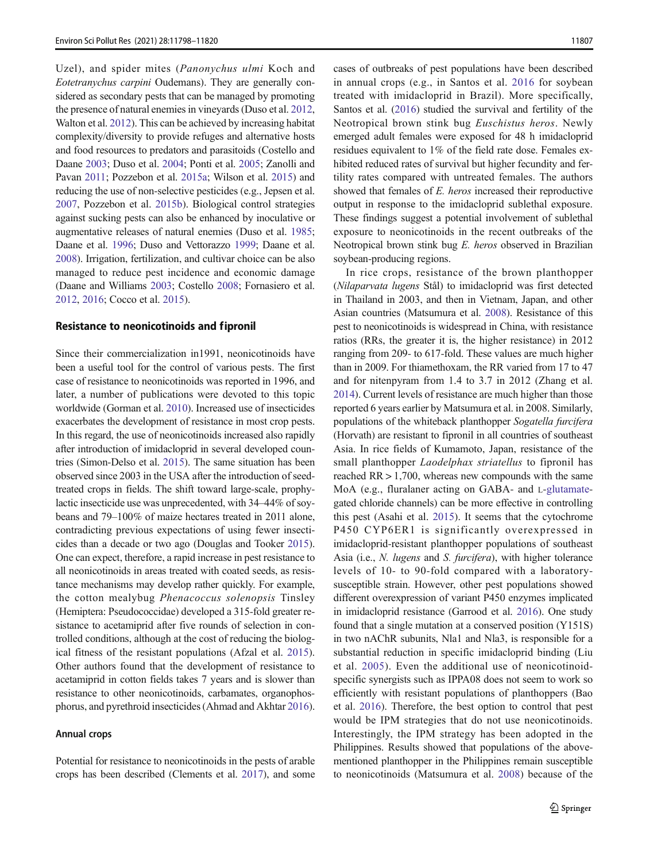Uzel), and spider mites (Panonychus ulmi Koch and Eotetranychus carpini Oudemans). They are generally considered as secondary pests that can be managed by promoting the presence of natural enemies in vineyards (Duso et al. [2012,](#page-17-0) Walton et al. [2012](#page-22-0)). This can be achieved by increasing habitat complexity/diversity to provide refuges and alternative hosts and food resources to predators and parasitoids (Costello and Daane [2003](#page-17-0); Duso et al. [2004;](#page-17-0) Ponti et al. [2005;](#page-20-0) Zanolli and Pavan [2011](#page-22-0); Pozzebon et al. [2015a](#page-20-0); Wilson et al. [2015\)](#page-22-0) and reducing the use of non-selective pesticides (e.g., Jepsen et al. [2007,](#page-19-0) Pozzebon et al. [2015b](#page-20-0)). Biological control strategies against sucking pests can also be enhanced by inoculative or augmentative releases of natural enemies (Duso et al. [1985](#page-17-0); Daane et al. [1996](#page-17-0); Duso and Vettorazzo [1999;](#page-17-0) Daane et al. [2008\)](#page-17-0). Irrigation, fertilization, and cultivar choice can be also managed to reduce pest incidence and economic damage (Daane and Williams [2003;](#page-17-0) Costello [2008;](#page-17-0) Fornasiero et al. [2012,](#page-18-0) [2016](#page-18-0); Cocco et al. [2015](#page-17-0)).

#### Resistance to neonicotinoids and fipronil

Since their commercialization in1991, neonicotinoids have been a useful tool for the control of various pests. The first case of resistance to neonicotinoids was reported in 1996, and later, a number of publications were devoted to this topic worldwide (Gorman et al. [2010](#page-18-0)). Increased use of insecticides exacerbates the development of resistance in most crop pests. In this regard, the use of neonicotinoids increased also rapidly after introduction of imidacloprid in several developed countries (Simon-Delso et al. [2015](#page-21-0)). The same situation has been observed since 2003 in the USA after the introduction of seedtreated crops in fields. The shift toward large-scale, prophylactic insecticide use was unprecedented, with 34–44% of soybeans and 79–100% of maize hectares treated in 2011 alone, contradicting previous expectations of using fewer insecticides than a decade or two ago (Douglas and Tooker [2015\)](#page-17-0). One can expect, therefore, a rapid increase in pest resistance to all neonicotinoids in areas treated with coated seeds, as resistance mechanisms may develop rather quickly. For example, the cotton mealybug Phenacoccus solenopsis Tinsley (Hemiptera: Pseudococcidae) developed a 315-fold greater resistance to acetamiprid after five rounds of selection in controlled conditions, although at the cost of reducing the biological fitness of the resistant populations (Afzal et al. [2015](#page-16-0)). Other authors found that the development of resistance to acetamiprid in cotton fields takes 7 years and is slower than resistance to other neonicotinoids, carbamates, organophosphorus, and pyrethroid insecticides (Ahmad and Akhtar [2016\)](#page-16-0).

#### Annual crops

Potential for resistance to neonicotinoids in the pests of arable crops has been described (Clements et al. [2017\)](#page-17-0), and some cases of outbreaks of pest populations have been described in annual crops (e.g., in Santos et al. [2016](#page-21-0) for soybean treated with imidacloprid in Brazil). More specifically, Santos et al. [\(2016](#page-21-0)) studied the survival and fertility of the Neotropical brown stink bug Euschistus heros. Newly emerged adult females were exposed for 48 h imidacloprid residues equivalent to 1% of the field rate dose. Females exhibited reduced rates of survival but higher fecundity and fertility rates compared with untreated females. The authors showed that females of E. heros increased their reproductive output in response to the imidacloprid sublethal exposure. These findings suggest a potential involvement of sublethal exposure to neonicotinoids in the recent outbreaks of the Neotropical brown stink bug E. heros observed in Brazilian soybean-producing regions.

In rice crops, resistance of the brown planthopper (Nilaparvata lugens Stål) to imidacloprid was first detected in Thailand in 2003, and then in Vietnam, Japan, and other Asian countries (Matsumura et al. [2008\)](#page-20-0). Resistance of this pest to neonicotinoids is widespread in China, with resistance ratios (RRs, the greater it is, the higher resistance) in 2012 ranging from 209- to 617-fold. These values are much higher than in 2009. For thiamethoxam, the RR varied from 17 to 47 and for nitenpyram from 1.4 to 3.7 in 2012 (Zhang et al. [2014\)](#page-22-0). Current levels of resistance are much higher than those reported 6 years earlier by Matsumura et al. in 2008. Similarly, populations of the whiteback planthopper Sogatella furcifera (Horvath) are resistant to fipronil in all countries of southeast Asia. In rice fields of Kumamoto, Japan, resistance of the small planthopper Laodelphax striatellus to fipronil has reached RR > 1,700, whereas new compounds with the same MoA (e.g., fluralaner acting on GABA- and L-[glutamate](https://en.wikipedia.org/wiki/Glutamic_acid)gated chloride channels) can be more effective in controlling this pest (Asahi et al. [2015](#page-16-0)). It seems that the cytochrome P450 CYP6ER1 is significantly overexpressed in imidacloprid-resistant planthopper populations of southeast Asia (i.e., N. lugens and S. furcifera), with higher tolerance levels of 10- to 90-fold compared with a laboratorysusceptible strain. However, other pest populations showed different overexpression of variant P450 enzymes implicated in imidacloprid resistance (Garrood et al. [2016\)](#page-18-0). One study found that a single mutation at a conserved position (Y151S) in two nAChR subunits, Nla1 and Nla3, is responsible for a substantial reduction in specific imidacloprid binding (Liu et al. [2005](#page-19-0)). Even the additional use of neonicotinoidspecific synergists such as IPPA08 does not seem to work so efficiently with resistant populations of planthoppers (Bao et al. [2016\)](#page-16-0). Therefore, the best option to control that pest would be IPM strategies that do not use neonicotinoids. Interestingly, the IPM strategy has been adopted in the Philippines. Results showed that populations of the abovementioned planthopper in the Philippines remain susceptible to neonicotinoids (Matsumura et al. [2008\)](#page-20-0) because of the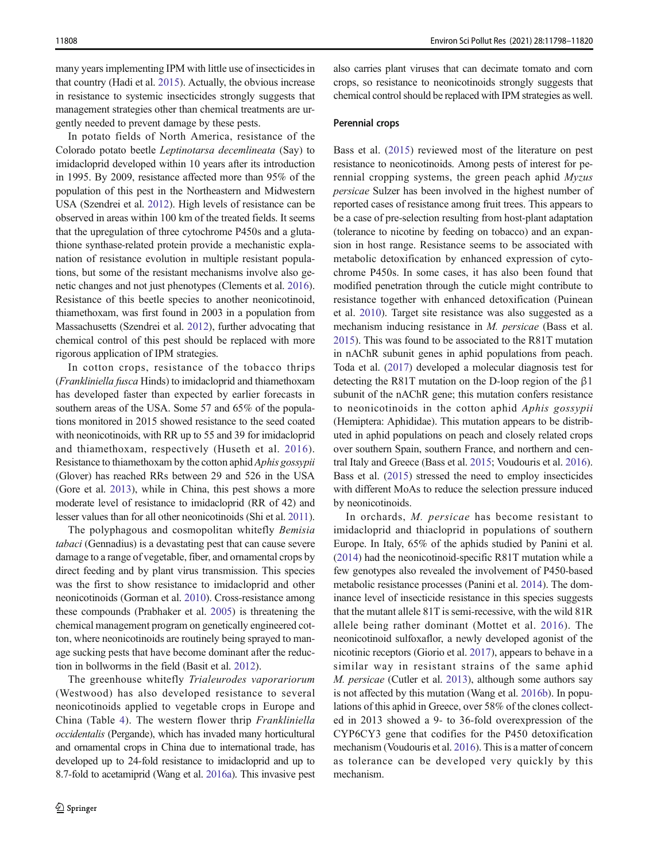many years implementing IPM with little use of insecticides in that country (Hadi et al. [2015\)](#page-18-0). Actually, the obvious increase in resistance to systemic insecticides strongly suggests that management strategies other than chemical treatments are urgently needed to prevent damage by these pests.

In potato fields of North America, resistance of the Colorado potato beetle Leptinotarsa decemlineata (Say) to imidacloprid developed within 10 years after its introduction in 1995. By 2009, resistance affected more than 95% of the population of this pest in the Northeastern and Midwestern USA (Szendrei et al. [2012](#page-21-0)). High levels of resistance can be observed in areas within 100 km of the treated fields. It seems that the upregulation of three cytochrome P450s and a glutathione synthase-related protein provide a mechanistic explanation of resistance evolution in multiple resistant populations, but some of the resistant mechanisms involve also genetic changes and not just phenotypes (Clements et al. [2016\)](#page-17-0). Resistance of this beetle species to another neonicotinoid, thiamethoxam, was first found in 2003 in a population from Massachusetts (Szendrei et al. [2012\)](#page-21-0), further advocating that chemical control of this pest should be replaced with more rigorous application of IPM strategies.

In cotton crops, resistance of the tobacco thrips (Frankliniella fusca Hinds) to imidacloprid and thiamethoxam has developed faster than expected by earlier forecasts in southern areas of the USA. Some 57 and 65% of the populations monitored in 2015 showed resistance to the seed coated with neonicotinoids, with RR up to 55 and 39 for imidacloprid and thiamethoxam, respectively (Huseth et al. [2016](#page-19-0)). Resistance to thiamethoxam by the cotton aphid Aphis gossypii (Glover) has reached RRs between 29 and 526 in the USA (Gore et al. [2013\)](#page-18-0), while in China, this pest shows a more moderate level of resistance to imidacloprid (RR of 42) and lesser values than for all other neonicotinoids (Shi et al. [2011\)](#page-21-0).

The polyphagous and cosmopolitan whitefly Bemisia tabaci (Gennadius) is a devastating pest that can cause severe damage to a range of vegetable, fiber, and ornamental crops by direct feeding and by plant virus transmission. This species was the first to show resistance to imidacloprid and other neonicotinoids (Gorman et al. [2010\)](#page-18-0). Cross-resistance among these compounds (Prabhaker et al. [2005](#page-20-0)) is threatening the chemical management program on genetically engineered cotton, where neonicotinoids are routinely being sprayed to manage sucking pests that have become dominant after the reduction in bollworms in the field (Basit et al. [2012](#page-16-0)).

The greenhouse whitefly Trialeurodes vaporariorum (Westwood) has also developed resistance to several neonicotinoids applied to vegetable crops in Europe and China (Table [4\)](#page-11-0). The western flower thrip Frankliniella occidentalis (Pergande), which has invaded many horticultural and ornamental crops in China due to international trade, has developed up to 24-fold resistance to imidacloprid and up to 8.7-fold to acetamiprid (Wang et al. [2016a](#page-22-0)). This invasive pest

also carries plant viruses that can decimate tomato and corn crops, so resistance to neonicotinoids strongly suggests that chemical control should be replaced with IPM strategies as well.

## Perennial crops

Bass et al. [\(2015](#page-16-0)) reviewed most of the literature on pest resistance to neonicotinoids. Among pests of interest for perennial cropping systems, the green peach aphid Myzus persicae Sulzer has been involved in the highest number of reported cases of resistance among fruit trees. This appears to be a case of pre-selection resulting from host-plant adaptation (tolerance to nicotine by feeding on tobacco) and an expansion in host range. Resistance seems to be associated with metabolic detoxification by enhanced expression of cytochrome P450s. In some cases, it has also been found that modified penetration through the cuticle might contribute to resistance together with enhanced detoxification (Puinean et al. [2010\)](#page-20-0). Target site resistance was also suggested as a mechanism inducing resistance in M. persicae (Bass et al. [2015\)](#page-16-0). This was found to be associated to the R81T mutation in nAChR subunit genes in aphid populations from peach. Toda et al. ([2017](#page-21-0)) developed a molecular diagnosis test for detecting the R81T mutation on the D-loop region of the β1 subunit of the nAChR gene; this mutation confers resistance to neonicotinoids in the cotton aphid Aphis gossypii (Hemiptera: Aphididae). This mutation appears to be distributed in aphid populations on peach and closely related crops over southern Spain, southern France, and northern and central Italy and Greece (Bass et al. [2015](#page-16-0); Voudouris et al. [2016\)](#page-22-0). Bass et al. [\(2015](#page-16-0)) stressed the need to employ insecticides with different MoAs to reduce the selection pressure induced by neonicotinoids.

In orchards, M. persicae has become resistant to imidacloprid and thiacloprid in populations of southern Europe. In Italy, 65% of the aphids studied by Panini et al. [\(2014\)](#page-20-0) had the neonicotinoid-specific R81T mutation while a few genotypes also revealed the involvement of P450-based metabolic resistance processes (Panini et al. [2014\)](#page-20-0). The dominance level of insecticide resistance in this species suggests that the mutant allele 81T is semi-recessive, with the wild 81R allele being rather dominant (Mottet et al. [2016\)](#page-20-0). The neonicotinoid sulfoxaflor, a newly developed agonist of the nicotinic receptors (Giorio et al. [2017\)](#page-18-0), appears to behave in a similar way in resistant strains of the same aphid M. persicae (Cutler et al. [2013](#page-17-0)), although some authors say is not affected by this mutation (Wang et al. [2016b\)](#page-22-0). In populations of this aphid in Greece, over 58% of the clones collected in 2013 showed a 9- to 36-fold overexpression of the CYP6CY3 gene that codifies for the P450 detoxification mechanism (Voudouris et al. [2016](#page-22-0)). This is a matter of concern as tolerance can be developed very quickly by this mechanism.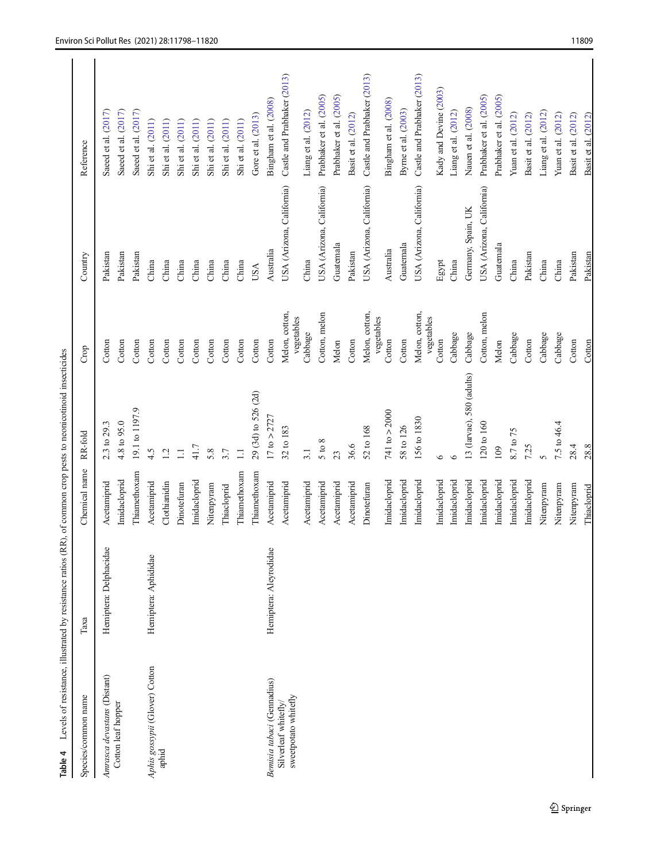<span id="page-11-0"></span>

| Table 4                                      | Levels of resistance, illustrated by resistance ratios (RR), of common crop pests to neonicotinoid insecticides |               |                           |                       |                           |                             |
|----------------------------------------------|-----------------------------------------------------------------------------------------------------------------|---------------|---------------------------|-----------------------|---------------------------|-----------------------------|
| Species/common name                          | Таха                                                                                                            | Chemical name | RR-fold                   | Crop                  | Country                   | Reference                   |
| Amrasca devastans (Distant)                  | Hemiptera: Delphacidae                                                                                          | Acetamiprid   | 2.3 to 29.3               | Cotton                | Pakistan                  | Saeed et al. (2017)         |
| Cotton leaf hopper                           |                                                                                                                 | Imidacloprid  | 4.8 to 95.0               | Cotton                | Pakistan                  | Saeed et al. (2017)         |
|                                              |                                                                                                                 | Thiamethoxam  | 19.1 to 1197.9            | Cotton                | Pakistan                  | Saeed et al. (2017)         |
| Aphis gossypii (Glover) Cotton               | Hemiptera: Aphididae                                                                                            | Acetamiprid   | 4.5                       | Cotton                | China                     | Shi et al. (2011)           |
| aphid                                        |                                                                                                                 | Clothianidin  | 1.2                       | Cotton                | China                     | Shi et al. (2011)           |
|                                              |                                                                                                                 | Dinotefuran   | $\Box$                    | Cotton                | China                     | Shi et al. (2011)           |
|                                              |                                                                                                                 | Imidacloprid  | 41.7                      | Cotton                | China                     | Shi et al. (2011)           |
|                                              |                                                                                                                 | Nitenpyram    | 5.8                       | Cotton                | China                     | Shi et al. (2011)           |
|                                              |                                                                                                                 | Thiacloprid   | 3.7                       | Cotton                | China                     | Shi et al. (2011)           |
|                                              |                                                                                                                 | Thiamethoxam  | $\Box$                    | Cotton                | China                     | Shi et al. (2011)           |
|                                              |                                                                                                                 | Thiamethoxam  | 29 (3d) to 526 (2d)       | Cotton                | USA                       | Gore et al. (2013)          |
| Benisia tabaci (Gennadius)                   | Hemiptera: Aleyrodidae                                                                                          | Acetamiprid   | $17 \text{ to } > 2727$   | Cotton                | Australia                 | Bingham et al. (2008)       |
| sweetpotato whitefly<br>Silverleaf whitefly/ |                                                                                                                 | Acetamiprid   | 32 to 183                 | Melon, cotton,        | USA (Arizona, California) | Castle and Prabhaker (2013) |
|                                              |                                                                                                                 | Acetamiprid   | 3.1                       | vegetables<br>Cabbage | China                     | Liang et al. (2012)         |
|                                              |                                                                                                                 | Acetamiprid   | 5 to 8                    | Cotton, melon         | USA (Arizona, California) | Prabhaker et al. (2005)     |
|                                              |                                                                                                                 | Acetamiprid   | 23                        | Melon                 | Guatemala                 | Prabhaker et al. (2005)     |
|                                              |                                                                                                                 | Acetamiprid   | 36.6                      | Cotton                | Pakistan                  | Basit et al. (2012)         |
|                                              |                                                                                                                 | Dinotefuran   | 52 to 168                 | Melon, cotton,        | USA (Arizona, California) | Castle and Prabhaker (2013) |
|                                              |                                                                                                                 | Imidacloprid  | 741 to $>$ 2000           | vegetables<br>Cotton  | Australia                 | Bingham et al. (2008)       |
|                                              |                                                                                                                 | Imidacloprid  | 58 to 126                 | Cotton                | Guatemala                 | Byme et al. (2003)          |
|                                              |                                                                                                                 | Imidacloprid  | 156 to 1830               | Melon, cotton,        | USA (Arizona, California) | Castle and Prabhaker (2013) |
|                                              |                                                                                                                 | Imidacloprid  | $\circ$                   | vegetables<br>Cotton  | Egypt                     | Kady and Devine (2003)      |
|                                              |                                                                                                                 | Imidacloprid  |                           | Cabbage               | China                     | Liang et al. (2012)         |
|                                              |                                                                                                                 | Imidacloprid  | 13 (larvae), 580 (adults) | Cabbage               | Germany, Spain, UK        | Nauen et al. (2008)         |
|                                              |                                                                                                                 | Imidacloprid  | 120 to 160                | Cotton, melon         | USA (Arizona, California) | Prabhaker et al. (2005)     |
|                                              |                                                                                                                 | Imidacloprid  | 109                       | Melon                 | Guatemala                 | Prabhaker et al. (2005)     |
|                                              |                                                                                                                 | Imidacloprid  | 8.7 to 75                 | Cabbage               | China                     | Yuan et al. (2012)          |
|                                              |                                                                                                                 | Imidacloprid  | 7.25                      | Cotton                | Pakistan                  | Basit et al. (2012)         |
|                                              |                                                                                                                 | Nitenpyram    | $\Omega$                  | Cabbage               | China                     | Liang et al. (2012)         |
|                                              |                                                                                                                 | Nitenpyram    | $7.5 \text{ to } 46.4$    | Cabbage               | China                     | Yuan et al. (2012)          |
|                                              |                                                                                                                 | Nitenpyram    | 28.4                      | Cotton                | Pakistan                  | Basit et al. (2012)         |
|                                              |                                                                                                                 | Thiacloprid   | 28.8                      | Cotton                | Pakistan                  | Basit et al. (2012)         |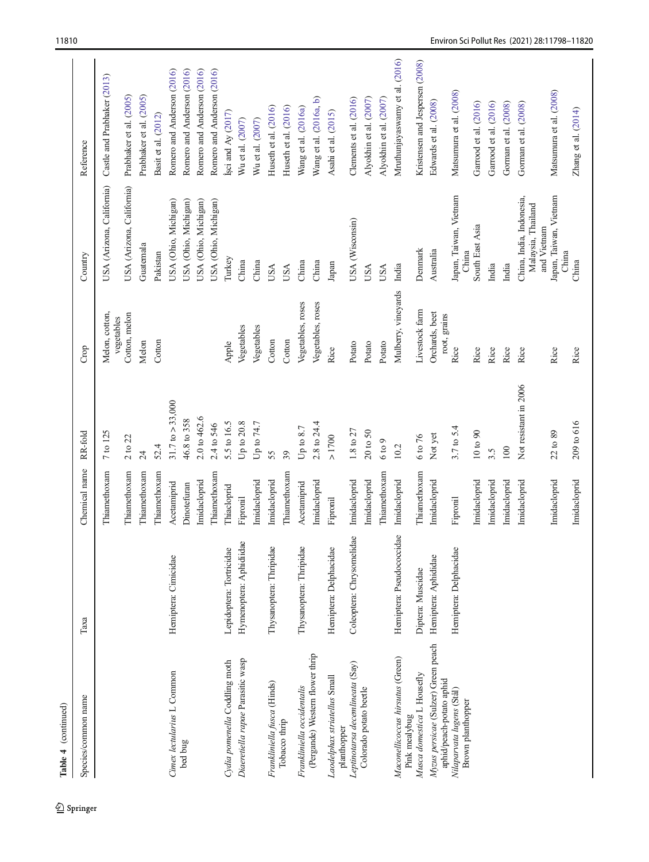| Species/common name                                             | Таха                                     | Chemical name | RR-fold                     | Crop                           | Country                                                       | Reference                       |
|-----------------------------------------------------------------|------------------------------------------|---------------|-----------------------------|--------------------------------|---------------------------------------------------------------|---------------------------------|
|                                                                 |                                          | Thiamethoxam  | 7 to 125                    | Melon, cotton,<br>vegetables   | USA (Arizona, California)                                     | Castle and Prabhaker (2013)     |
|                                                                 |                                          | Thiamethoxam  | $2$ to $22$                 | Cotton, melon                  | USA (Arizona, California)                                     | Prabhaker et al. (2005)         |
|                                                                 |                                          | Thiamethoxam  | $\overline{24}$             | Melon                          | Guatemala                                                     | Prabhaker et al. (2005)         |
|                                                                 |                                          | Thiamethoxam  | 52.4                        | Cotton                         | Pakistan                                                      | Basit et al. (2012)             |
| Cimex lectularius L Common                                      | Hemiptera: Cimicidae                     | Acetamiprid   | $31.7 \text{ to } > 33,000$ |                                | USA (Ohio, Michigan)                                          | Romero and Anderson (2016)      |
| bed bug                                                         |                                          | Dinotefuran   | 46.8 to 358                 |                                | USA (Ohio, Michigan)                                          | Romero and Anderson (2016)      |
|                                                                 |                                          | Imidacloprid  | 2.0 to 462.6                |                                | USA (Ohio, Michigan)                                          | Romero and Anderson (2016)      |
|                                                                 |                                          | Thiamethoxam  | 2.4 to 546                  |                                | USA (Ohio, Michigan)                                          | Romero and Anderson (2016)      |
| Cydia pomenella Coddling moth                                   | Lepidoptera: Tortricidae                 | Thiacloprid   | 5.5 to 16.5                 | Apple                          | Turkey                                                        | sci and Ay $(2017)$             |
| Diaeretiella rapae Parasitic wasp                               | $\overline{Q}$<br>Hymenoptera: Aphidiida | Fipronil      | Up to 20.8                  | Vegetables                     | China                                                         | Wu et al. (2007)                |
|                                                                 |                                          | Imidacloprid  | Up to 74.7                  | Vegetables                     | China                                                         | Wu et al. (2007)                |
| Frankliniella fusca (Hinds)                                     | Thysanoptera: Thripidae                  | Imidacloprid  | 55                          | Cotton                         | USA                                                           | Huseth et al. (2016)            |
| Tobacco thrip                                                   |                                          | Thiamethoxam  | 39                          | Cotton                         | USA                                                           | Huseth et al. (2016)            |
| Frankliniella occidentalis                                      | Thysanoptera: Thripidae                  | Acetamiprid   | Up to $8.7$                 | Vegetables, roses              | China                                                         | Wang et al. (2016a)             |
| (Pergande) Western flower thrip                                 |                                          | Imidacloprid  | 2.8 to 24.4                 | Vegetables, roses              | China                                                         | Wang et al. (2016a, b)          |
| Laodelphax striatellus Small                                    | Hemiptera: Delphacidae                   | Fipronil      | $>1700$                     | Rice                           | Japan                                                         | Asahi et al. (2015)             |
| Leptinotarsa decemlineata (Say)<br>planthopper                  | Coleoptera: Chrysomelidae                | Imidacloprid  | $1.8$ to $27\,$             | Potato                         | USA (Wisconsin)                                               | Clements et al. (2016)          |
| Colorado potato beetle                                          |                                          | Imidacloprid  | 20 to 50                    | Potato                         | USA                                                           | Alyokhin et al. (2007)          |
|                                                                 |                                          | Thiamethoxam  | 6 to 9                      | Potato                         | USA                                                           | Alyokhin et al. (2007)          |
| Maconellicoccus hirsutus (Green)<br>Pink mealybug               | Hemiptera: Pseudococcidae                | Imidacloprid  | 10.2                        | Mulberry, vineyards            | India                                                         | Mruthunjayaswamy et al. (2016)  |
| Musca domestica L Housefly                                      | Diptera: Muscidae                        | Thiamethoxam  | $6 \text{ to } 76$          | Livestock farm                 | Denmark                                                       | Kristensen and Jespersen (2008) |
| Myzus persicae (Sulzer) Green peach<br>aphid/peach-potato aphid | Hemiptera: Aphididae                     | Imidacloprid  | Not yet                     | Orchards, beet<br>root, grains | Australia                                                     | Edwards et al. (2008)           |
| Nilaparvata lugens (Stål)<br>Brown planthopper                  | Hemiptera: Delphacidae                   | Fipronil      | 3.7 to 5.4                  | Rice                           | Japan, Taiwan, Vietnam<br>China                               | Matsumura et al. (2008)         |
|                                                                 |                                          | Imidacloprid  | 10 to 90                    | Rice                           | South East Asia                                               | Garrood et al. (2016)           |
|                                                                 |                                          | Imidacloprid  | 3.5                         | Rice                           | India                                                         | Garrood et al. (2016)           |
|                                                                 |                                          | Imidacloprid  | 100                         | Rice                           | India                                                         | Gorman et al. (2008)            |
|                                                                 |                                          | Imidacloprid  | Not resistant in 2006       | Rice                           | China, India, Indonesia,<br>Malaysia, Thailand<br>and Vietnam | Gorman et al. (2008)            |
|                                                                 |                                          | Imidacloprid  | 22 to 89                    | Rice                           | Japan, Taiwan, Vietnam                                        | Matsumura et al. (2008)         |
|                                                                 |                                          | Imidacloprid  | 209 to 616                  | Rice                           | China<br>China                                                | Zhang et al. (2014)             |

 $\underline{\textcircled{\tiny 2}}$  Springer

Table 4 (continued)

Table 4 (continued)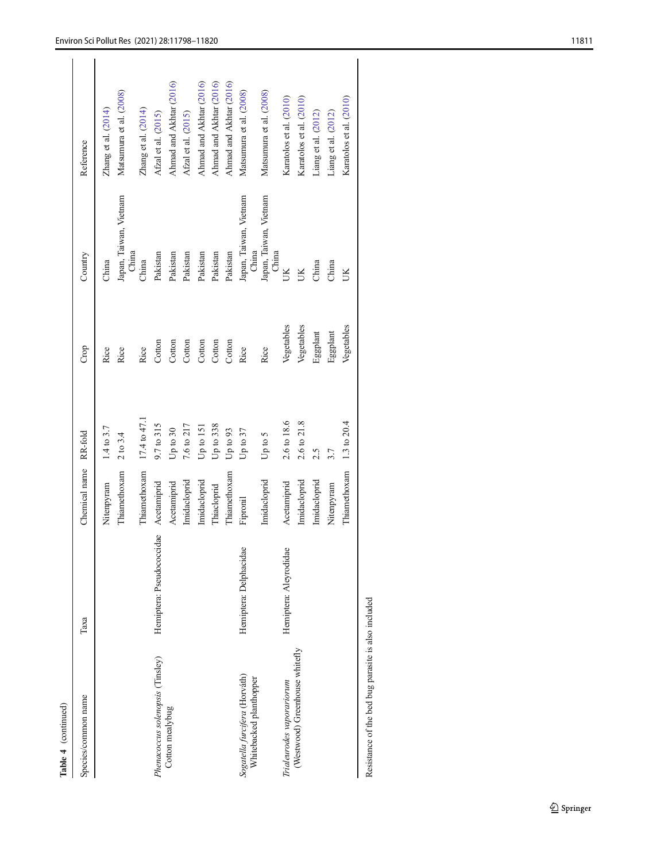| Table 4 (continued)                                      |                           |                       |                       |            |                                 |                         |
|----------------------------------------------------------|---------------------------|-----------------------|-----------------------|------------|---------------------------------|-------------------------|
| Species/common name                                      | Таха                      | Chemical name RR-fold |                       | Crop       | Country                         | Reference               |
|                                                          |                           | Nitenpyram            | $1.4 \text{ to } 3.7$ | Rice       | China                           | Zhang et al. $(2014)$   |
|                                                          |                           | Thiamethoxam          | 2 to 3.4              | Rice       | Japan, Taiwan, Vietnam<br>China | Matsumura et al. (2008) |
|                                                          |                           | Thiamethoxam          | 17.4 to 47.1          | Rice       | China                           | Zhang et al. (2014)     |
| Phenacoccus solenopsis (Tinsley)                         | Hemiptera: Pseudococcidae | Acetamiprid           | 9.7 to 315            | Cotton     | Pakistan                        | Afzal et al. (2015)     |
| Cotton mealybug                                          |                           | Acetamiprid           | Up to 30              | Cotton     | Pakistan                        | Ahmad and Akhtar (2016) |
|                                                          |                           | Imidacloprid          | 7.6 to 217            | Cotton     | Pakistan                        | Afzal et al. (2015)     |
|                                                          |                           | Imidacloprid          | $Up$ to $151$         | Cotton     | Pakistan                        | Ahmad and Akhtar (2016) |
|                                                          |                           | Thiacloprid           | Up to $338$           | Cotton     | Pakistan                        | Ahmad and Akhtar (2016) |
|                                                          |                           | Thiamethoxam          | Up to 93              | Cotton     | Pakistan                        | Ahmad and Akhtar (2016) |
| Sogatella furcifera (Horváth)<br>Whitebacked planthopper | Hemiptera: Delphacidae    | Fipronil              | Up to $37$            | Rice       | Japan, Taiwan, Vietnam<br>China | Matsumura et al. (2008) |
|                                                          |                           | Imidacloprid          | Up to 5               | Rice       | Japan, Taiwan, Vietnam<br>China | Matsumura et al. (2008) |
| Trialeurodes vaporariorum                                | Hemiptera: Aleyrodidae    | Acetamiprid           | 2.6 to 18.6           | Vegetables | Š                               | Karatolos et al. (2010) |
| (Westwood) Greenhouse whitefly                           |                           | Imidacloprid          | 2.6 to 21.8           | Vegetables | ŰЮ                              | Karatolos et al. (2010) |
|                                                          |                           | Imidacloprid          | 2.5                   | Eggplant   | China                           | Liang et al. (2012)     |
|                                                          |                           | Nitenpyram            | 3.7                   | Eggplant   | China                           | Liang et al. (2012)     |
|                                                          |                           | Thiamethoxam          | 1.3 to 20.4           | Vegetables | UК                              | Karatolos et al. (2010) |
|                                                          |                           |                       |                       |            |                                 |                         |

Resistance of the bed bug parasite is also included Resistance of the bed bug parasite is also included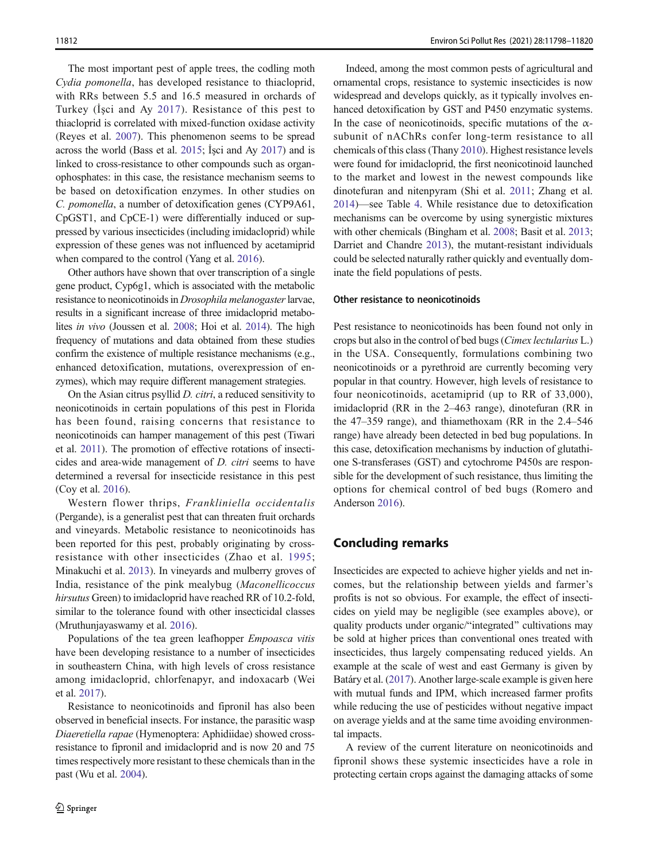The most important pest of apple trees, the codling moth Cydia pomonella, has developed resistance to thiacloprid, with RRs between 5.5 and 16.5 measured in orchards of Turkey (İşci and Ay [2017](#page-19-0)). Resistance of this pest to thiacloprid is correlated with mixed-function oxidase activity (Reyes et al. [2007\)](#page-21-0). This phenomenon seems to be spread across the world (Bass et al. [2015](#page-16-0); İşci and Ay [2017](#page-19-0)) and is linked to cross-resistance to other compounds such as organophosphates: in this case, the resistance mechanism seems to be based on detoxification enzymes. In other studies on C. pomonella, a number of detoxification genes (CYP9A61, CpGST1, and CpCE-1) were differentially induced or suppressed by various insecticides (including imidacloprid) while expression of these genes was not influenced by acetamiprid when compared to the control (Yang et al. [2016](#page-22-0)).

Other authors have shown that over transcription of a single gene product, Cyp6g1, which is associated with the metabolic resistance to neonicotinoids in Drosophila melanogaster larvae, results in a significant increase of three imidacloprid metabolites in vivo (Joussen et al. [2008](#page-19-0); Hoi et al. [2014\)](#page-18-0). The high frequency of mutations and data obtained from these studies confirm the existence of multiple resistance mechanisms (e.g., enhanced detoxification, mutations, overexpression of enzymes), which may require different management strategies.

On the Asian citrus psyllid D. citri, a reduced sensitivity to neonicotinoids in certain populations of this pest in Florida has been found, raising concerns that resistance to neonicotinoids can hamper management of this pest (Tiwari et al. [2011](#page-21-0)). The promotion of effective rotations of insecticides and area-wide management of D. citri seems to have determined a reversal for insecticide resistance in this pest (Coy et al. [2016](#page-17-0)).

Western flower thrips, Frankliniella occidentalis (Pergande), is a generalist pest that can threaten fruit orchards and vineyards. Metabolic resistance to neonicotinoids has been reported for this pest, probably originating by crossresistance with other insecticides (Zhao et al. [1995](#page-22-0); Minakuchi et al. [2013](#page-20-0)). In vineyards and mulberry groves of India, resistance of the pink mealybug (Maconellicoccus hirsutus Green) to imidacloprid have reached RR of 10.2-fold, similar to the tolerance found with other insecticidal classes (Mruthunjayaswamy et al. [2016\)](#page-20-0).

Populations of the tea green leafhopper Empoasca vitis have been developing resistance to a number of insecticides in southeastern China, with high levels of cross resistance among imidacloprid, chlorfenapyr, and indoxacarb (Wei et al. [2017](#page-22-0)).

Resistance to neonicotinoids and fipronil has also been observed in beneficial insects. For instance, the parasitic wasp Diaeretiella rapae (Hymenoptera: Aphidiidae) showed crossresistance to fipronil and imidacloprid and is now 20 and 75 times respectively more resistant to these chemicals than in the past (Wu et al. [2004\)](#page-22-0).

Indeed, among the most common pests of agricultural and ornamental crops, resistance to systemic insecticides is now widespread and develops quickly, as it typically involves enhanced detoxification by GST and P450 enzymatic systems. In the case of neonicotinoids, specific mutations of the  $\alpha$ subunit of nAChRs confer long-term resistance to all chemicals of this class (Thany [2010](#page-21-0)). Highest resistance levels were found for imidacloprid, the first neonicotinoid launched to the market and lowest in the newest compounds like dinotefuran and nitenpyram (Shi et al. [2011;](#page-21-0) Zhang et al. [2014\)](#page-22-0)—see Table [4](#page-11-0). While resistance due to detoxification mechanisms can be overcome by using synergistic mixtures with other chemicals (Bingham et al. [2008;](#page-16-0) Basit et al. [2013;](#page-16-0) Darriet and Chandre [2013\)](#page-17-0), the mutant-resistant individuals could be selected naturally rather quickly and eventually dominate the field populations of pests.

#### Other resistance to neonicotinoids

Pest resistance to neonicotinoids has been found not only in crops but also in the control of bed bugs (Cimex lectularius L.) in the USA. Consequently, formulations combining two neonicotinoids or a pyrethroid are currently becoming very popular in that country. However, high levels of resistance to four neonicotinoids, acetamiprid (up to RR of 33,000), imidacloprid (RR in the 2–463 range), dinotefuran (RR in the 47–359 range), and thiamethoxam (RR in the 2.4–546 range) have already been detected in bed bug populations. In this case, detoxification mechanisms by induction of glutathione S-transferases (GST) and cytochrome P450s are responsible for the development of such resistance, thus limiting the options for chemical control of bed bugs (Romero and Anderson [2016](#page-21-0)).

# Concluding remarks

Insecticides are expected to achieve higher yields and net incomes, but the relationship between yields and farmer's profits is not so obvious. For example, the effect of insecticides on yield may be negligible (see examples above), or quality products under organic/"integrated" cultivations may be sold at higher prices than conventional ones treated with insecticides, thus largely compensating reduced yields. An example at the scale of west and east Germany is given by Batáry et al. [\(2017\)](#page-16-0). Another large-scale example is given here with mutual funds and IPM, which increased farmer profits while reducing the use of pesticides without negative impact on average yields and at the same time avoiding environmental impacts.

A review of the current literature on neonicotinoids and fipronil shows these systemic insecticides have a role in protecting certain crops against the damaging attacks of some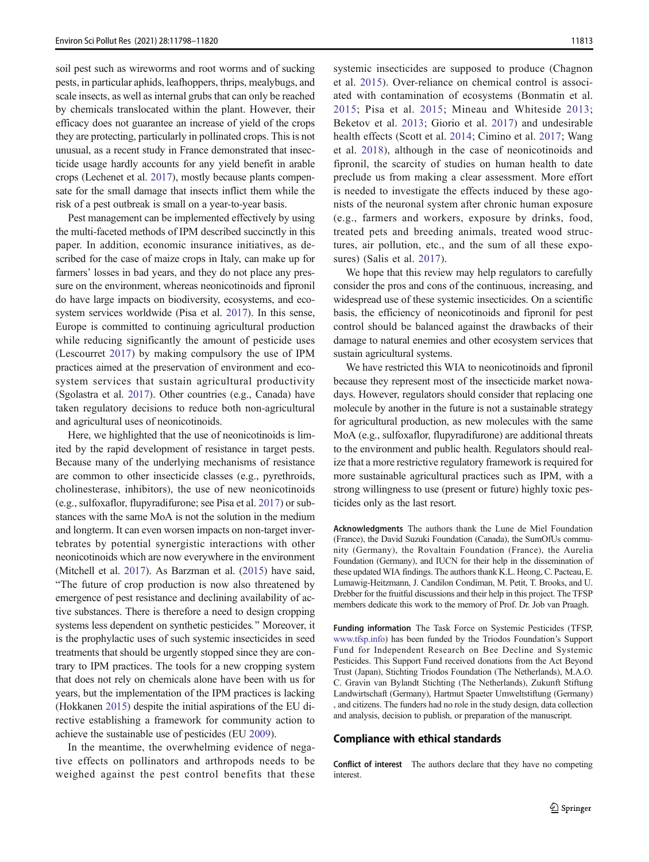soil pest such as wireworms and root worms and of sucking pests, in particular aphids, leafhoppers, thrips, mealybugs, and scale insects, as well as internal grubs that can only be reached by chemicals translocated within the plant. However, their efficacy does not guarantee an increase of yield of the crops they are protecting, particularly in pollinated crops. This is not unusual, as a recent study in France demonstrated that insecticide usage hardly accounts for any yield benefit in arable crops (Lechenet et al. [2017\)](#page-19-0), mostly because plants compensate for the small damage that insects inflict them while the risk of a pest outbreak is small on a year-to-year basis.

Pest management can be implemented effectively by using the multi-faceted methods of IPM described succinctly in this paper. In addition, economic insurance initiatives, as described for the case of maize crops in Italy, can make up for farmers' losses in bad years, and they do not place any pressure on the environment, whereas neonicotinoids and fipronil do have large impacts on biodiversity, ecosystems, and ecosystem services worldwide (Pisa et al. [2017](#page-20-0)). In this sense, Europe is committed to continuing agricultural production while reducing significantly the amount of pesticide uses (Lescourret [2017\)](#page-19-0) by making compulsory the use of IPM practices aimed at the preservation of environment and ecosystem services that sustain agricultural productivity (Sgolastra et al. [2017](#page-21-0)). Other countries (e.g., Canada) have taken regulatory decisions to reduce both non-agricultural and agricultural uses of neonicotinoids.

Here, we highlighted that the use of neonicotinoids is limited by the rapid development of resistance in target pests. Because many of the underlying mechanisms of resistance are common to other insecticide classes (e.g., pyrethroids, cholinesterase, inhibitors), the use of new neonicotinoids (e.g., sulfoxaflor, flupyradifurone; see Pisa et al. [2017\)](#page-20-0) or substances with the same MoA is not the solution in the medium and longterm. It can even worsen impacts on non-target invertebrates by potential synergistic interactions with other neonicotinoids which are now everywhere in the environment (Mitchell et al. [2017\)](#page-20-0). As Barzman et al. ([2015](#page-16-0)) have said, "The future of crop production is now also threatened by emergence of pest resistance and declining availability of active substances. There is therefore a need to design cropping systems less dependent on synthetic pesticides.<sup>\*</sup> Moreover, it is the prophylactic uses of such systemic insecticides in seed treatments that should be urgently stopped since they are contrary to IPM practices. The tools for a new cropping system that does not rely on chemicals alone have been with us for years, but the implementation of the IPM practices is lacking (Hokkanen [2015\)](#page-18-0) despite the initial aspirations of the EU directive establishing a framework for community action to achieve the sustainable use of pesticides (EU [2009](#page-18-0)).

In the meantime, the overwhelming evidence of negative effects on pollinators and arthropods needs to be weighed against the pest control benefits that these systemic insecticides are supposed to produce (Chagnon et al. [2015](#page-17-0)). Over-reliance on chemical control is associated with contamination of ecosystems (Bonmatin et al. [2015;](#page-16-0) Pisa et al. [2015](#page-20-0); Mineau and Whiteside [2013;](#page-20-0) Beketov et al. [2013](#page-16-0); Giorio et al. [2017\)](#page-18-0) and undesirable health effects (Scott et al. [2014](#page-21-0); Cimino et al. [2017](#page-17-0); Wang et al. [2018](#page-22-0)), although in the case of neonicotinoids and fipronil, the scarcity of studies on human health to date preclude us from making a clear assessment. More effort is needed to investigate the effects induced by these agonists of the neuronal system after chronic human exposure (e.g., farmers and workers, exposure by drinks, food, treated pets and breeding animals, treated wood structures, air pollution, etc., and the sum of all these exposures) (Salis et al. [2017\)](#page-21-0).

We hope that this review may help regulators to carefully consider the pros and cons of the continuous, increasing, and widespread use of these systemic insecticides. On a scientific basis, the efficiency of neonicotinoids and fipronil for pest control should be balanced against the drawbacks of their damage to natural enemies and other ecosystem services that sustain agricultural systems.

We have restricted this WIA to neonicotinoids and fipronil because they represent most of the insecticide market nowadays. However, regulators should consider that replacing one molecule by another in the future is not a sustainable strategy for agricultural production, as new molecules with the same MoA (e.g., sulfoxaflor, flupyradifurone) are additional threats to the environment and public health. Regulators should realize that a more restrictive regulatory framework is required for more sustainable agricultural practices such as IPM, with a strong willingness to use (present or future) highly toxic pesticides only as the last resort.

Acknowledgments The authors thank the Lune de Miel Foundation (France), the David Suzuki Foundation (Canada), the SumOfUs community (Germany), the Rovaltain Foundation (France), the Aurelia Foundation (Germany), and IUCN for their help in the dissemination of these updated WIA findings. The authors thank K.L. Heong, C. Pacteau, E. Lumawig-Heitzmann, J. Candilon Condiman, M. Petit, T. Brooks, and U. Drebber for the fruitful discussions and their help in this project. The TFSP members dedicate this work to the memory of Prof. Dr. Job van Praagh.

Funding information The Task Force on Systemic Pesticides (TFSP, [www.tfsp.info](http://www.tfsp.info)) has been funded by the Triodos Foundation's Support Fund for Independent Research on Bee Decline and Systemic Pesticides. This Support Fund received donations from the Act Beyond Trust (Japan), Stichting Triodos Foundation (The Netherlands), M.A.O. C. Gravin van Bylandt Stichting (The Netherlands), Zukunft Stiftung Landwirtschaft (Germany), Hartmut Spaeter Umweltstiftung (Germany) , and citizens. The funders had no role in the study design, data collection and analysis, decision to publish, or preparation of the manuscript.

#### Compliance with ethical standards

Conflict of interest The authors declare that they have no competing interest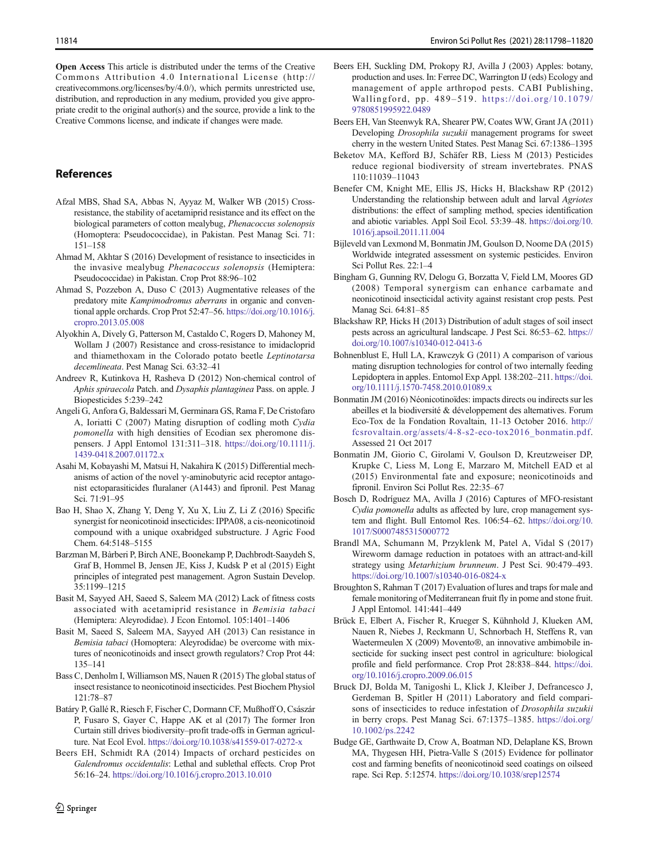<span id="page-16-0"></span>Open Access This article is distributed under the terms of the Creative Commons Attribution 4.0 International License (http:// creativecommons.org/licenses/by/4.0/), which permits unrestricted use, distribution, and reproduction in any medium, provided you give appropriate credit to the original author(s) and the source, provide a link to the Creative Commons license, and indicate if changes were made.

# References

- Afzal MBS, Shad SA, Abbas N, Ayyaz M, Walker WB (2015) Crossresistance, the stability of acetamiprid resistance and its effect on the biological parameters of cotton mealybug, Phenacoccus solenopsis (Homoptera: Pseudococcidae), in Pakistan. Pest Manag Sci. 71: 151–158
- Ahmad M, Akhtar S (2016) Development of resistance to insecticides in the invasive mealybug Phenacoccus solenopsis (Hemiptera: Pseudococcidae) in Pakistan. Crop Prot 88:96–102
- Ahmad S, Pozzebon A, Duso C (2013) Augmentative releases of the predatory mite Kampimodromus aberrans in organic and conventional apple orchards. Crop Prot 52:47–56. [https://doi.org/10.1016/j.](https://doi.org/10.1016/j.cropro.2013.05.008) [cropro.2013.05.008](https://doi.org/10.1016/j.cropro.2013.05.008)
- Alyokhin A, Dively G, Patterson M, Castaldo C, Rogers D, Mahoney M, Wollam J (2007) Resistance and cross-resistance to imidacloprid and thiamethoxam in the Colorado potato beetle Leptinotarsa decemlineata. Pest Manag Sci. 63:32–41
- Andreev R, Kutinkova H, Rasheva D (2012) Non-chemical control of Aphis spiraecola Patch. and Dysaphis plantaginea Pass. on apple. J Biopesticides 5:239–242
- Angeli G, Anfora G, Baldessari M, Germinara GS, Rama F, De Cristofaro A, Ioriatti C (2007) Mating disruption of codling moth Cydia pomonella with high densities of Ecodian sex pheromone dispensers. J Appl Entomol 131:311–318. [https://doi.org/10.1111/j.](https://doi.org/10.1111/j.1439-0418.2007.01172.x) [1439-0418.2007.01172.x](https://doi.org/10.1111/j.1439-0418.2007.01172.x)
- Asahi M, Kobayashi M, Matsui H, Nakahira K (2015) Differential mechanisms of action of the novel  $\gamma$ -aminobutyric acid receptor antagonist ectoparasiticides fluralaner (A1443) and fipronil. Pest Manag Sci. 71:91–95
- Bao H, Shao X, Zhang Y, Deng Y, Xu X, Liu Z, Li Z (2016) Specific synergist for neonicotinoid insecticides: IPPA08, a cis-neonicotinoid compound with a unique oxabridged substructure. J Agric Food Chem. 64:5148–5155
- Barzman M, Bàrberi P, Birch ANE, Boonekamp P, Dachbrodt-Saaydeh S, Graf B, Hommel B, Jensen JE, Kiss J, Kudsk P et al (2015) Eight principles of integrated pest management. Agron Sustain Develop. 35:1199–1215
- Basit M, Sayyed AH, Saeed S, Saleem MA (2012) Lack of fitness costs associated with acetamiprid resistance in Bemisia tabaci (Hemiptera: Aleyrodidae). J Econ Entomol. 105:1401–1406
- Basit M, Saeed S, Saleem MA, Sayyed AH (2013) Can resistance in Bemisia tabaci (Homoptera: Aleyrodidae) be overcome with mixtures of neonicotinoids and insect growth regulators? Crop Prot 44: 135–141
- Bass C, Denholm I, Williamson MS, Nauen R (2015) The global status of insect resistance to neonicotinoid insecticides. Pest Biochem Physiol 121:78–87
- Batáry P, Gallé R, Riesch F, Fischer C, Dormann CF, Mußhoff O, Császár P, Fusaro S, Gayer C, Happe AK et al (2017) The former Iron Curtain still drives biodiversity–profit trade-offs in German agriculture. Nat Ecol Evol. <https://doi.org/10.1038/s41559-017-0272-x>
- Beers EH, Schmidt RA (2014) Impacts of orchard pesticides on Galendromus occidentalis: Lethal and sublethal effects. Crop Prot 56:16–24. <https://doi.org/10.1016/j.cropro.2013.10.010>
- $\textcircled{2}$  Springer
- Beers EH, Suckling DM, Prokopy RJ, Avilla J (2003) Apples: botany, production and uses. In: Ferree DC, Warrington IJ (eds) Ecology and management of apple arthropod pests. CABI Publishing, Wallingford, pp. 489–519. [https://doi.org/10.1079/](https://doi.org/10.1079/9780851995922.0489) [9780851995922.0489](https://doi.org/10.1079/9780851995922.0489)
- Beers EH, Van Steenwyk RA, Shearer PW, Coates WW, Grant JA (2011) Developing Drosophila suzukii management programs for sweet cherry in the western United States. Pest Manag Sci. 67:1386–1395
- Beketov MA, Kefford BJ, Schäfer RB, Liess M (2013) Pesticides reduce regional biodiversity of stream invertebrates. PNAS 110:11039–11043
- Benefer CM, Knight ME, Ellis JS, Hicks H, Blackshaw RP (2012) Understanding the relationship between adult and larval Agriotes distributions: the effect of sampling method, species identification and abiotic variables. Appl Soil Ecol. 53:39–48. [https://doi.org/10.](https://doi.org/10.1016/j.apsoil.2011.11.004) [1016/j.apsoil.2011.11.004](https://doi.org/10.1016/j.apsoil.2011.11.004)
- Bijleveld van Lexmond M, Bonmatin JM, Goulson D, Noome DA (2015) Worldwide integrated assessment on systemic pesticides. Environ Sci Pollut Res. 22:1–4
- Bingham G, Gunning RV, Delogu G, Borzatta V, Field LM, Moores GD (2008) Temporal synergism can enhance carbamate and neonicotinoid insecticidal activity against resistant crop pests. Pest Manag Sci. 64:81–85
- Blackshaw RP, Hicks H (2013) Distribution of adult stages of soil insect pests across an agricultural landscape. J Pest Sci. 86:53–62. [https://](https://doi.org/10.1007/s10340-012-0413-6) [doi.org/10.1007/s10340-012-0413-6](https://doi.org/10.1007/s10340-012-0413-6)
- Bohnenblust E, Hull LA, Krawczyk G (2011) A comparison of various mating disruption technologies for control of two internally feeding Lepidoptera in apples. Entomol Exp Appl. 138:202–211. [https://doi.](https://doi.org/10.1111/j.1570-7458.2010.01089.x) [org/10.1111/j.1570-7458.2010.01089.x](https://doi.org/10.1111/j.1570-7458.2010.01089.x)
- Bonmatin JM (2016) Néonicotinoïdes: impacts directs ou indirects sur les abeilles et la biodiversité & développement des alternatives. Forum Eco-Tox de la Fondation Rovaltain, 11-13 October 2016. [http://](http://fcsrovaltain.org/assets/4-8-s2-eco-tox2016_bonmatin.pdf) [fcsrovaltain.org/assets/4-8-s2-eco-tox2016\\_bonmatin.pdf](http://fcsrovaltain.org/assets/4-8-s2-eco-tox2016_bonmatin.pdf). Assessed 21 Oct 2017
- Bonmatin JM, Giorio C, Girolami V, Goulson D, Kreutzweiser DP, Krupke C, Liess M, Long E, Marzaro M, Mitchell EAD et al (2015) Environmental fate and exposure; neonicotinoids and fipronil. Environ Sci Pollut Res. 22:35–67
- Bosch D, Rodríguez MA, Avilla J (2016) Captures of MFO-resistant Cydia pomonella adults as affected by lure, crop management system and flight. Bull Entomol Res. 106:54–62. [https://doi.org/10.](https://doi.org/10.1017/S0007485315000772) [1017/S0007485315000772](https://doi.org/10.1017/S0007485315000772)
- Brandl MA, Schumann M, Przyklenk M, Patel A, Vidal S (2017) Wireworm damage reduction in potatoes with an attract-and-kill strategy using Metarhizium brunneum. J Pest Sci. 90:479–493. <https://doi.org/10.1007/s10340-016-0824-x>
- Broughton S, Rahman T (2017) Evaluation of lures and traps for male and female monitoring of Mediterranean fruit fly in pome and stone fruit. J Appl Entomol. 141:441–449
- Brück E, Elbert A, Fischer R, Krueger S, Kühnhold J, Klueken AM, Nauen R, Niebes J, Reckmann U, Schnorbach H, Steffens R, van Waetermeulen X (2009) Movento®, an innovative ambimobile insecticide for sucking insect pest control in agriculture: biological profile and field performance. Crop Prot 28:838–844. [https://doi.](https://doi.org/10.1016/j.cropro.2009.06.015) [org/10.1016/j.cropro.2009.06.015](https://doi.org/10.1016/j.cropro.2009.06.015)
- Bruck DJ, Bolda M, Tanigoshi L, Klick J, Kleiber J, Defrancesco J, Gerdeman B, Spitler H (2011) Laboratory and field comparisons of insecticides to reduce infestation of Drosophila suzukii in berry crops. Pest Manag Sci. 67:1375–1385. [https://doi.org/](https://doi.org/10.1002/ps.2242) [10.1002/ps.2242](https://doi.org/10.1002/ps.2242)
- Budge GE, Garthwaite D, Crow A, Boatman ND, Delaplane KS, Brown MA, Thygesen HH, Pietra-Valle S (2015) Evidence for pollinator cost and farming benefits of neonicotinoid seed coatings on oilseed rape. Sci Rep. 5:12574. <https://doi.org/10.1038/srep12574>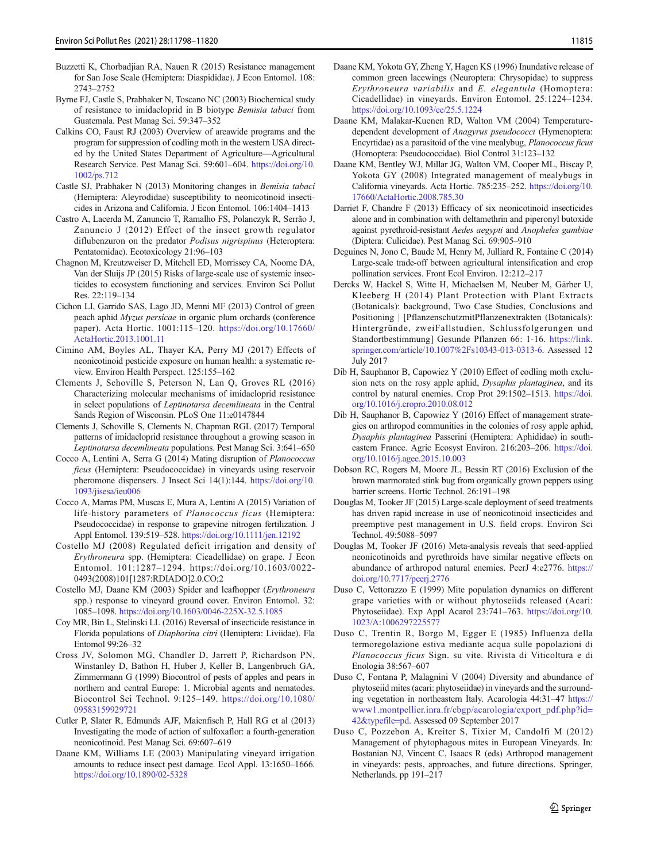- <span id="page-17-0"></span>Buzzetti K, Chorbadjian RA, Nauen R (2015) Resistance management for San Jose Scale (Hemiptera: Diaspididae). J Econ Entomol. 108: 2743–2752
- Byrne FJ, Castle S, Prabhaker N, Toscano NC (2003) Biochemical study of resistance to imidacloprid in B biotype Bemisia tabaci from Guatemala. Pest Manag Sci. 59:347–352
- Calkins CO, Faust RJ (2003) Overview of areawide programs and the program for suppression of codling moth in the western USA directed by the United States Department of Agriculture—Agricultural Research Service. Pest Manag Sci. 59:601–604. [https://doi.org/10.](https://doi.org/10.1002/ps.712) [1002/ps.712](https://doi.org/10.1002/ps.712)
- Castle SJ, Prabhaker N (2013) Monitoring changes in Bemisia tabaci (Hemiptera: Aleyrodidae) susceptibility to neonicotinoid insecticides in Arizona and California. J Econ Entomol. 106:1404–1413
- Castro A, Lacerda M, Zanuncio T, Ramalho FS, Polanczyk R, Serrão J, Zanuncio J (2012) Effect of the insect growth regulator diflubenzuron on the predator Podisus nigrispinus (Heteroptera: Pentatomidae). Ecotoxicology 21:96–103
- Chagnon M, Kreutzweiser D, Mitchell ED, Morrissey CA, Noome DA, Van der Sluijs JP (2015) Risks of large-scale use of systemic insecticides to ecosystem functioning and services. Environ Sci Pollut Res. 22:119–134
- Cichon LI, Garrido SAS, Lago JD, Menni MF (2013) Control of green peach aphid Myzus persicae in organic plum orchards (conference paper). Acta Hortic. 1001:115–120. [https://doi.org/10.17660/](https://doi.org/10.17660/ActaHortic.2013.1001.11) [ActaHortic.2013.1001.11](https://doi.org/10.17660/ActaHortic.2013.1001.11)
- Cimino AM, Boyles AL, Thayer KA, Perry MJ (2017) Effects of neonicotinoid pesticide exposure on human health: a systematic review. Environ Health Perspect. 125:155–162
- Clements J, Schoville S, Peterson N, Lan Q, Groves RL (2016) Characterizing molecular mechanisms of imidacloprid resistance in select populations of Leptinotarsa decemlineata in the Central Sands Region of Wisconsin. PLoS One 11:e0147844
- Clements J, Schoville S, Clements N, Chapman RGL (2017) Temporal patterns of imidacloprid resistance throughout a growing season in Leptinotarsa decemlineata populations. Pest Manag Sci. 3:641–650
- Cocco A, Lentini A, Serra G (2014) Mating disruption of Planococcus ficus (Hemiptera: Pseudococcidae) in vineyards using reservoir pheromone dispensers. J Insect Sci 14(1):144. [https://doi.org/10.](https://doi.org/10.1093/jisesa/ieu006) [1093/jisesa/ieu006](https://doi.org/10.1093/jisesa/ieu006)
- Cocco A, Marras PM, Muscas E, Mura A, Lentini A (2015) Variation of life-history parameters of Planococcus ficus (Hemiptera: Pseudococcidae) in response to grapevine nitrogen fertilization. J Appl Entomol. 139:519–528. <https://doi.org/10.1111/jen.12192>
- Costello MJ (2008) Regulated deficit irrigation and density of Erythroneura spp. (Hemiptera: Cicadellidae) on grape. J Econ Entomol. 101:1287–1294. https://doi.org/10.1603/0022- 0493(2008)101[1287:RDIADO]2.0.CO;2
- Costello MJ, Daane KM (2003) Spider and leafhopper (Erythroneura spp.) response to vineyard ground cover. Environ Entomol. 32: 1085–1098. <https://doi.org/10.1603/0046-225X-32.5.1085>
- Coy MR, Bin L, Stelinski LL (2016) Reversal of insecticide resistance in Florida populations of Diaphorina citri (Hemiptera: Liviidae). Fla Entomol 99:26–32
- Cross JV, Solomon MG, Chandler D, Jarrett P, Richardson PN, Winstanley D, Bathon H, Huber J, Keller B, Langenbruch GA, Zimmermann G (1999) Biocontrol of pests of apples and pears in northern and central Europe: 1. Microbial agents and nematodes. Biocontrol Sci Technol. 9:125–149. [https://doi.org/10.1080/](https://doi.org/10.1080/09583159929721) [09583159929721](https://doi.org/10.1080/09583159929721)
- Cutler P, Slater R, Edmunds AJF, Maienfisch P, Hall RG et al (2013) Investigating the mode of action of sulfoxaflor: a fourth-generation neonicotinoid. Pest Manag Sci. 69:607–619
- Daane KM, Williams LE (2003) Manipulating vineyard irrigation amounts to reduce insect pest damage. Ecol Appl. 13:1650–1666. <https://doi.org/10.1890/02-5328>
- Daane KM, Yokota GY, Zheng Y, Hagen KS (1996) Inundative release of common green lacewings (Neuroptera: Chrysopidae) to suppress Erythroneura variabilis and E. elegantula (Homoptera: Cicadellidae) in vineyards. Environ Entomol. 25:1224–1234. <https://doi.org/10.1093/ee/25.5.1224>
- Daane KM, Malakar-Kuenen RD, Walton VM (2004) Temperaturedependent development of Anagyrus pseudococci (Hymenoptera: Encyrtidae) as a parasitoid of the vine mealybug, Planococcus ficus (Homoptera: Pseudococcidae). Biol Control 31:123–132
- Daane KM, Bentley WJ, Millar JG, Walton VM, Cooper ML, Biscay P, Yokota GY (2008) Integrated management of mealybugs in California vineyards. Acta Hortic. 785:235–252. [https://doi.org/10.](https://doi.org/10.17660/ActaHortic.2008.785.30) [17660/ActaHortic.2008.785.30](https://doi.org/10.17660/ActaHortic.2008.785.30)
- Darriet F, Chandre F (2013) Efficacy of six neonicotinoid insecticides alone and in combination with deltamethrin and piperonyl butoxide against pyrethroid-resistant Aedes aegypti and Anopheles gambiae (Diptera: Culicidae). Pest Manag Sci. 69:905–910
- Deguines N, Jono C, Baude M, Henry M, Julliard R, Fontaine C (2014) Large-scale trade-off between agricultural intensification and crop pollination services. Front Ecol Environ. 12:212–217
- Dercks W, Hackel S, Witte H, Michaelsen M, Neuber M, Gärber U, Kleeberg H (2014) Plant Protection with Plant Extracts (Botanicals): background, Two Case Studies, Conclusions and Positioning | [PflanzenschutzmitPflanzenextrakten (Botanicals): Hintergründe, zweiFallstudien, Schlussfolgerungen und Standortbestimmung] Gesunde Pflanzen 66: 1-16. [https://link.](https://link.springer.com/article/10.1007/s10343-013-0313-6) [springer.com/article/10.1007%2Fs10343-013-0313-6](https://link.springer.com/article/10.1007/s10343-013-0313-6). Assessed 12 July 2017
- Dib H, Sauphanor B, Capowiez Y (2010) Effect of codling moth exclusion nets on the rosy apple aphid, Dysaphis plantaginea, and its control by natural enemies. Crop Prot 29:1502–1513. [https://doi.](https://doi.org/10.1016/j.cropro.2010.08.012) [org/10.1016/j.cropro.2010.08.012](https://doi.org/10.1016/j.cropro.2010.08.012)
- Dib H, Sauphanor B, Capowiez Y (2016) Effect of management strategies on arthropod communities in the colonies of rosy apple aphid, Dysaphis plantaginea Passerini (Hemiptera: Aphididae) in southeastern France. Agric Ecosyst Environ. 216:203–206. [https://doi.](https://doi.org/10.1016/j.agee.2015.10.003) [org/10.1016/j.agee.2015.10.003](https://doi.org/10.1016/j.agee.2015.10.003)
- Dobson RC, Rogers M, Moore JL, Bessin RT (2016) Exclusion of the brown marmorated stink bug from organically grown peppers using barrier screens. Hortic Technol. 26:191–198
- Douglas M, Tooker JF (2015) Large-scale deployment of seed treatments has driven rapid increase in use of neonicotinoid insecticides and preemptive pest management in U.S. field crops. Environ Sci Technol. 49:5088–5097
- Douglas M, Tooker JF (2016) Meta-analysis reveals that seed-applied neonicotinoids and pyrethroids have similar negative effects on abundance of arthropod natural enemies. PeerJ 4:e2776. [https://](https://doi.org/10.7717/peerj.2776) [doi.org/10.7717/peerj.2776](https://doi.org/10.7717/peerj.2776)
- Duso C, Vettorazzo E (1999) Mite population dynamics on different grape varieties with or without phytoseiids released (Acari: Phytoseiidae). Exp Appl Acarol 23:741–763. [https://doi.org/10.](https://doi.org/10.1023/A:1006297225577) [1023/A:1006297225577](https://doi.org/10.1023/A:1006297225577)
- Duso C, Trentin R, Borgo M, Egger E (1985) Influenza della termoregolazione estiva mediante acqua sulle popolazioni di Planococcus ficus Sign. su vite. Rivista di Viticoltura e di Enologia 38:567–607
- Duso C, Fontana P, Malagnini V (2004) Diversity and abundance of phytoseiid mites (acari: phytoseiidae) in vineyards and the surrounding vegetation in northeastern Italy. Acarologia 44:31–47 [https://](https://www1.montpellier.inra.fr/cbgp/acarologia/export_pdf.php?id=42&typefile=pd) [www1.montpellier.inra.fr/cbgp/acarologia/export\\_pdf.php?id=](https://www1.montpellier.inra.fr/cbgp/acarologia/export_pdf.php?id=42&typefile=pd) [42&typefile=pd](https://www1.montpellier.inra.fr/cbgp/acarologia/export_pdf.php?id=42&typefile=pd). Assessed 09 September 2017
- Duso C, Pozzebon A, Kreiter S, Tixier M, Candolfi M (2012) Management of phytophagous mites in European Vineyards. In: Bostanian NJ, Vincent C, Isaacs R (eds) Arthropod management in vineyards: pests, approaches, and future directions. Springer, Netherlands, pp 191–217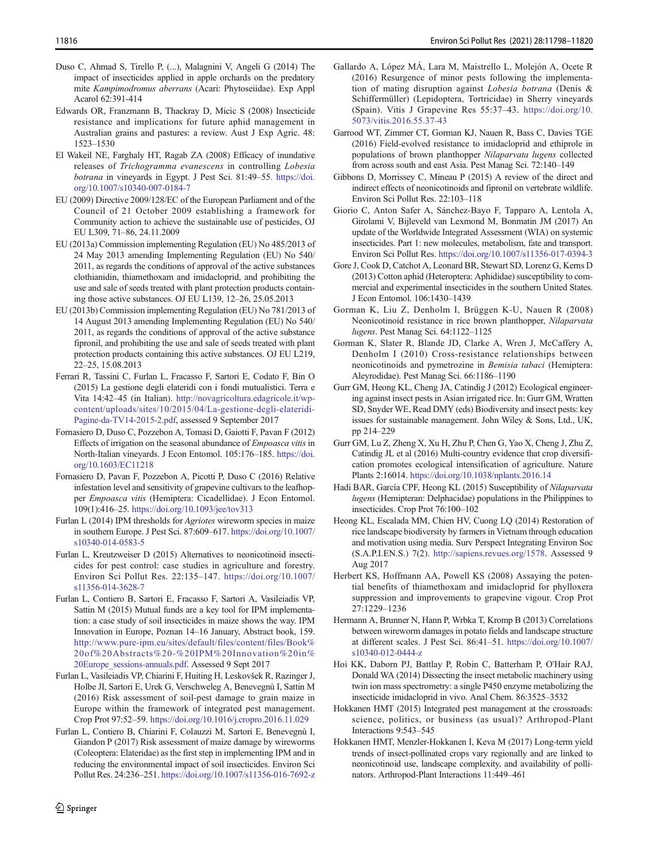- <span id="page-18-0"></span>Duso C, Ahmad S, Tirello P, (...), Malagnini V, Angeli G (2014) The impact of insecticides applied in apple orchards on the predatory mite Kampimodromus aberrans (Acari: Phytoseiidae). Exp Appl Acarol 62:391-414
- Edwards OR, Franzmann B, Thackray D, Micic S (2008) Insecticide resistance and implications for future aphid management in Australian grains and pastures: a review. Aust J Exp Agric. 48: 1523–1530
- El Wakeil NE, Farghaly HT, Ragab ZA (2008) Efficacy of inundative releases of Trichogramma evanescens in controlling Lobesia botrana in vineyards in Egypt. J Pest Sci. 81:49–55. [https://doi.](https://doi.org/10.1007/s10340-007-0184-7) [org/10.1007/s10340-007-0184-7](https://doi.org/10.1007/s10340-007-0184-7)
- EU (2009) Directive 2009/128/EC of the European Parliament and of the Council of 21 October 2009 establishing a framework for Community action to achieve the sustainable use of pesticides, OJ EU L309, 71–86, 24.11.2009
- EU (2013a) Commission implementing Regulation (EU) No 485/2013 of 24 May 2013 amending Implementing Regulation (EU) No 540/ 2011, as regards the conditions of approval of the active substances clothianidin, thiamethoxam and imidacloprid, and prohibiting the use and sale of seeds treated with plant protection products containing those active substances. OJ EU L139, 12–26, 25.05.2013
- EU (2013b) Commission implementing Regulation (EU) No 781/2013 of 14 August 2013 amending Implementing Regulation (EU) No 540/ 2011, as regards the conditions of approval of the active substance fipronil, and prohibiting the use and sale of seeds treated with plant protection products containing this active substances. OJ EU L219, 22–25, 15.08.2013
- Ferrari R, Tassini C, Furlan L, Fracasso F, Sartori E, Codato F, Bin O (2015) La gestione degli elateridi con i fondi mutualistici. Terra e Vita 14:42–45 (in Italian). [http://novagricoltura.edagricole.it/wp](http://novagricoltura.edagricole.it/wp-content/uploads/sites/10/2015/04/La-gestione-degli-elateridi-Pagine-da-TV14-2015-2.pdf)[content/uploads/sites/10/2015/04/La-gestione-degli-elateridi-](http://novagricoltura.edagricole.it/wp-content/uploads/sites/10/2015/04/La-gestione-degli-elateridi-Pagine-da-TV14-2015-2.pdf)[Pagine-da-TV14-2015-2.pdf](http://novagricoltura.edagricole.it/wp-content/uploads/sites/10/2015/04/La-gestione-degli-elateridi-Pagine-da-TV14-2015-2.pdf), assessed 9 September 2017
- Fornasiero D, Duso C, Pozzebon A, Tomasi D, Gaiotti F, Pavan F (2012) Effects of irrigation on the seasonal abundance of Empoasca vitis in North-Italian vineyards. J Econ Entomol. 105:176–185. [https://doi.](https://doi.org/10.1603/EC11218) [org/10.1603/EC11218](https://doi.org/10.1603/EC11218)
- Fornasiero D, Pavan F, Pozzebon A, Picotti P, Duso C (2016) Relative infestation level and sensitivity of grapevine cultivars to the leafhopper Empoasca vitis (Hemiptera: Cicadellidae). J Econ Entomol. 109(1):416–25. <https://doi.org/10.1093/jee/tov313>
- Furlan L (2014) IPM thresholds for Agriotes wireworm species in maize in southern Europe. J Pest Sci. 87:609–617. [https://doi.org/10.1007/](https://doi.org/10.1007/s10340-014-0583-5) [s10340-014-0583-5](https://doi.org/10.1007/s10340-014-0583-5)
- Furlan L, Kreutzweiser D (2015) Alternatives to neonicotinoid insecticides for pest control: case studies in agriculture and forestry. Environ Sci Pollut Res. 22:135–147. [https://doi.org/10.1007/](https://doi.org/10.1007/s11356-014-3628-7) [s11356-014-3628-7](https://doi.org/10.1007/s11356-014-3628-7)
- Furlan L, Contiero B, Sartori E, Fracasso F, Sartori A, Vasileiadis VP, Sattin M (2015) Mutual funds are a key tool for IPM implementation: a case study of soil insecticides in maize shows the way. IPM Innovation in Europe, Poznan 14–16 January, Abstract book, 159. [http://www.pure-ipm.eu/sites/default/files/content/files/Book%](http://www.pure-ipm.eu/sites/default/files/content/files/Book%20of%20Abstracts%20-%20IPM%20Innovation%20in%20Europe_sessions-annuals.pdf) [20of%20Abstracts%20-%20IPM%20Innovation%20in%](http://www.pure-ipm.eu/sites/default/files/content/files/Book%20of%20Abstracts%20-%20IPM%20Innovation%20in%20Europe_sessions-annuals.pdf) [20Europe\\_sessions-annuals.pdf](http://www.pure-ipm.eu/sites/default/files/content/files/Book%20of%20Abstracts%20-%20IPM%20Innovation%20in%20Europe_sessions-annuals.pdf). Assessed 9 Sept 2017
- Furlan L, Vasileiadis VP, Chiarini F, Huiting H, Leskovšek R, Razinger J, Holbe JI, Sartori E, Urek G, Verschweleg A, Benevegnù I, Sattin M (2016) Risk assessment of soil-pest damage to grain maize in Europe within the framework of integrated pest management. Crop Prot 97:52–59. <https://doi.org/10.1016/j.cropro.2016.11.029>
- Furlan L, Contiero B, Chiarini F, Colauzzi M, Sartori E, Benevegnù I, Giandon P (2017) Risk assessment of maize damage by wireworms (Coleoptera: Elateridae) as the first step in implementing IPM and in reducing the environmental impact of soil insecticides. Environ Sci Pollut Res. 24:236–251. <https://doi.org/10.1007/s11356-016-7692-z>
- Gallardo A, López MÁ, Lara M, Maistrello L, Molejón A, Ocete R (2016) Resurgence of minor pests following the implementation of mating disruption against Lobesia botrana (Denis & Schiffermüller) (Lepidoptera, Tortricidae) in Sherry vineyards (Spain). Vitis J Grapevine Res 55:37–43. [https://doi.org/10.](https://doi.org/10.5073/vitis.2016.55.37-43) [5073/vitis.2016.55.37-43](https://doi.org/10.5073/vitis.2016.55.37-43)
- Garrood WT, Zimmer CT, Gorman KJ, Nauen R, Bass C, Davies TGE (2016) Field-evolved resistance to imidacloprid and ethiprole in populations of brown planthopper Nilaparvata lugens collected from across south and east Asia. Pest Manag Sci. 72:140–149
- Gibbons D, Morrissey C, Mineau P (2015) A review of the direct and indirect effects of neonicotinoids and fipronil on vertebrate wildlife. Environ Sci Pollut Res. 22:103–118
- Giorio C, Anton Safer A, Sánchez-Bayo F, Tapparo A, Lentola A, Girolami V, Bijleveld van Lexmond M, Bonmatin JM (2017) An update of the Worldwide Integrated Assessment (WIA) on systemic insecticides. Part 1: new molecules, metabolism, fate and transport. Environ Sci Pollut Res. <https://doi.org/10.1007/s11356-017-0394-3>
- Gore J, Cook D, Catchot A, Leonard BR, Stewart SD, Lorenz G, Kerns D (2013) Cotton aphid (Heteroptera: Aphididae) susceptibility to commercial and experimental insecticides in the southern United States. J Econ Entomol. 106:1430–1439
- Gorman K, Liu Z, Denholm I, Brüggen K-U, Nauen R (2008) Neonicotinoid resistance in rice brown planthopper, Nilaparvata lugens. Pest Manag Sci. 64:1122–1125
- Gorman K, Slater R, Blande JD, Clarke A, Wren J, McCaffery A, Denholm I (2010) Cross-resistance relationships between neonicotinoids and pymetrozine in Bemisia tabaci (Hemiptera: Aleyrodidae). Pest Manag Sci. 66:1186–1190
- Gurr GM, Heong KL, Cheng JA, Catindig J (2012) Ecological engineering against insect pests in Asian irrigated rice. In: Gurr GM, Wratten SD, Snyder WE, Read DMY (eds) Biodiversity and insect pests: key issues for sustainable management. John Wiley & Sons, Ltd., UK, pp 214–229
- Gurr GM, Lu Z, Zheng X, Xu H, Zhu P, Chen G, Yao X, Cheng J, Zhu Z, Catindig JL et al (2016) Multi-country evidence that crop diversification promotes ecological intensification of agriculture. Nature Plants 2:16014. <https://doi.org/10.1038/nplants.2016.14>
- Hadi BAR, García CPF, Heong KL (2015) Susceptibility of Nilaparvata lugens (Hemipteran: Delphacidae) populations in the Philippines to insecticides. Crop Prot 76:100–102
- Heong KL, Escalada MM, Chien HV, Cuong LQ (2014) Restoration of rice landscape biodiversity by farmers in Vietnam through education and motivation using media. Surv Perspect Integrating Environ Soc (S.A.P.I.EN.S.) 7(2). <http://sapiens.revues.org/1578>. Assessed 9 Aug 2017
- Herbert KS, Hoffmann AA, Powell KS (2008) Assaying the potential benefits of thiamethoxam and imidacloprid for phylloxera suppression and improvements to grapevine vigour. Crop Prot 27:1229–1236
- Hermann A, Brunner N, Hann P, Wrbka T, Kromp B (2013) Correlations between wireworm damages in potato fields and landscape structure at different scales. J Pest Sci. 86:41–51. [https://doi.org/10.1007/](https://doi.org/10.1007/s10340-012-0444-z) [s10340-012-0444-z](https://doi.org/10.1007/s10340-012-0444-z)
- Hoi KK, Daborn PJ, Battlay P, Robin C, Batterham P, O'Hair RAJ, Donald WA (2014) Dissecting the insect metabolic machinery using twin ion mass spectrometry: a single P450 enzyme metabolizing the insecticide imidacloprid in vivo. Anal Chem. 86:3525–3532
- Hokkanen HMT (2015) Integrated pest management at the crossroads: science, politics, or business (as usual)? Arthropod-Plant Interactions 9:543–545
- Hokkanen HMT, Menzler-Hokkanen I, Keva M (2017) Long-term yield trends of insect-pollinated crops vary regionally and are linked to neonicotinoid use, landscape complexity, and availability of pollinators. Arthropod-Plant Interactions 11:449–461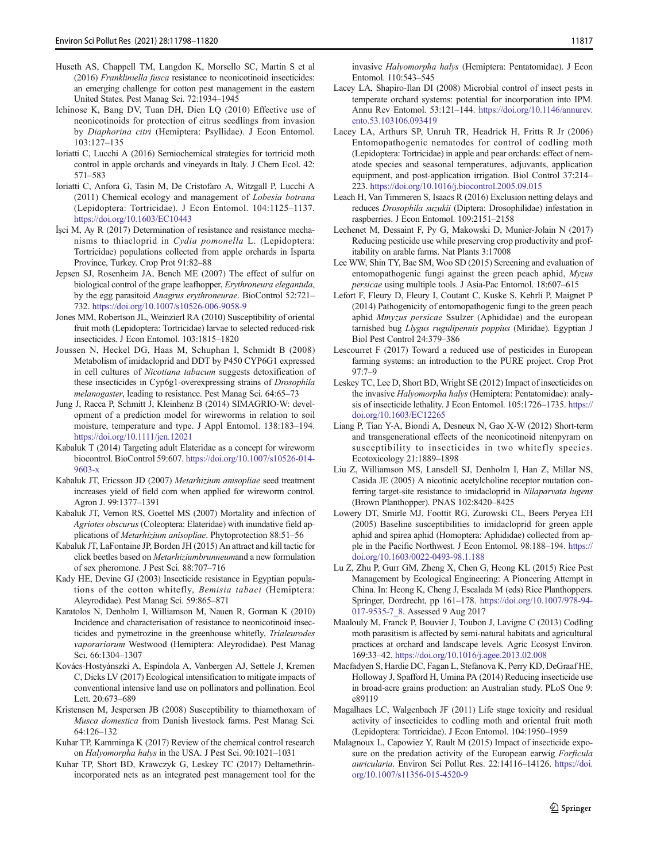- <span id="page-19-0"></span>Huseth AS, Chappell TM, Langdon K, Morsello SC, Martin S et al (2016) Frankliniella fusca resistance to neonicotinoid insecticides: an emerging challenge for cotton pest management in the eastern United States. Pest Manag Sci. 72:1934–1945
- Ichinose K, Bang DV, Tuan DH, Dien LQ (2010) Effective use of neonicotinoids for protection of citrus seedlings from invasion by Diaphorina citri (Hemiptera: Psyllidae). J Econ Entomol. 103:127–135
- Ioriatti C, Lucchi A (2016) Semiochemical strategies for tortricid moth control in apple orchards and vineyards in Italy. J Chem Ecol. 42: 571–583
- Ioriatti C, Anfora G, Tasin M, De Cristofaro A, Witzgall P, Lucchi A (2011) Chemical ecology and management of Lobesia botrana (Lepidoptera: Tortricidae). J Econ Entomol. 104:1125–1137. <https://doi.org/10.1603/EC10443>
- İşci M, Ay R (2017) Determination of resistance and resistance mechanisms to thiacloprid in Cydia pomonella L. (Lepidoptera: Tortricidae) populations collected from apple orchards in Isparta Province, Turkey. Crop Prot 91:82–88
- Jepsen SJ, Rosenheim JA, Bench ME (2007) The effect of sulfur on biological control of the grape leafhopper, Erythroneura elegantula, by the egg parasitoid Anagrus erythroneurae. BioControl 52:721– 732. <https://doi.org/10.1007/s10526-006-9058-9>
- Jones MM, Robertson JL, Weinzierl RA (2010) Susceptibility of oriental fruit moth (Lepidoptera: Tortricidae) larvae to selected reduced-risk insecticides. J Econ Entomol. 103:1815–1820
- Joussen N, Heckel DG, Haas M, Schuphan I, Schmidt B (2008) Metabolism of imidacloprid and DDT by P450 CYP6G1 expressed in cell cultures of Nicotiana tabacum suggests detoxification of these insecticides in Cyp6g1-overexpressing strains of Drosophila melanogaster, leading to resistance. Pest Manag Sci. 64:65–73
- Jung J, Racca P, Schmitt J, Kleinhenz B (2014) SIMAGRIO-W: development of a prediction model for wireworms in relation to soil moisture, temperature and type. J Appl Entomol. 138:183–194. <https://doi.org/10.1111/jen.12021>
- Kabaluk T (2014) Targeting adult Elateridae as a concept for wireworm biocontrol. BioControl 59:607. [https://doi.org/10.1007/s10526-014-](https://doi.org/10.1007/s10526-014-9603-x) [9603-x](https://doi.org/10.1007/s10526-014-9603-x)
- Kabaluk JT, Ericsson JD (2007) Metarhizium anisopliae seed treatment increases yield of field corn when applied for wireworm control. Agron J. 99:1377–1391
- Kabaluk JT, Vernon RS, Goettel MS (2007) Mortality and infection of Agriotes obscurus (Coleoptera: Elateridae) with inundative field applications of Metarhizium anisopliae. Phytoprotection 88:51–56
- Kabaluk JT, LaFontaine JP, Borden JH (2015) An attract and kill tactic for click beetles based on Metarhiziumbrunneumand a new formulation of sex pheromone. J Pest Sci. 88:707–716
- Kady HE, Devine GJ (2003) Insecticide resistance in Egyptian populations of the cotton whitefly, Bemisia tabaci (Hemiptera: Aleyrodidae). Pest Manag Sci. 59:865–871
- Karatolos N, Denholm I, Williamson M, Nauen R, Gorman K (2010) Incidence and characterisation of resistance to neonicotinoid insecticides and pymetrozine in the greenhouse whitefly, Trialeurodes vaporariorum Westwood (Hemiptera: Aleyrodidae). Pest Manag Sci. 66:1304–1307
- Kovács-Hostyánszki A, Espíndola A, Vanbergen AJ, Settele J, Kremen C, Dicks LV (2017) Ecological intensification to mitigate impacts of conventional intensive land use on pollinators and pollination. Ecol Lett. 20:673–689
- Kristensen M, Jespersen JB (2008) Susceptibility to thiamethoxam of Musca domestica from Danish livestock farms. Pest Manag Sci. 64:126–132
- Kuhar TP, Kamminga K (2017) Review of the chemical control research on Halyomorpha halys in the USA. J Pest Sci. 90:1021–1031
- Kuhar TP, Short BD, Krawczyk G, Leskey TC (2017) Deltamethrinincorporated nets as an integrated pest management tool for the

invasive Halyomorpha halys (Hemiptera: Pentatomidae). J Econ Entomol. 110:543–545

- Lacey LA, Shapiro-Ilan DI (2008) Microbial control of insect pests in temperate orchard systems: potential for incorporation into IPM. Annu Rev Entomol. 53:121–144. [https://doi.org/10.1146/annurev.](https://doi.org/10.1146/annurev.ento.53.103106.093419) [ento.53.103106.093419](https://doi.org/10.1146/annurev.ento.53.103106.093419)
- Lacey LA, Arthurs SP, Unruh TR, Headrick H, Fritts R Jr (2006) Entomopathogenic nematodes for control of codling moth (Lepidoptera: Tortricidae) in apple and pear orchards: effect of nematode species and seasonal temperatures, adjuvants, application equipment, and post-application irrigation. Biol Control 37:214– 223. <https://doi.org/10.1016/j.biocontrol.2005.09.015>
- Leach H, Van Timmeren S, Isaacs R (2016) Exclusion netting delays and reduces Drosophila suzukii (Diptera: Drosophilidae) infestation in raspberries. J Econ Entomol. 109:2151–2158
- Lechenet M, Dessaint F, Py G, Makowski D, Munier-Jolain N (2017) Reducing pesticide use while preserving crop productivity and profitability on arable farms. Nat Plants 3:17008
- Lee WW, Shin TY, Bae SM, Woo SD (2015) Screening and evaluation of entomopathogenic fungi against the green peach aphid, Myzus persicae using multiple tools. J Asia-Pac Entomol. 18:607–615
- Lefort F, Fleury D, Fleury I, Coutant C, Kuske S, Kehrli P, Maignet P (2014) Pathogenicity of entomopathogenic fungi to the green peach aphid Mmyzus persicae Ssulzer (Aphididae) and the european tarnished bug Llygus rugulipennis poppius (Miridae). Egyptian J Biol Pest Control 24:379–386
- Lescourret F (2017) Toward a reduced use of pesticides in European farming systems: an introduction to the PURE project. Crop Prot 97:7–9
- Leskey TC, Lee D, Short BD, Wright SE (2012) Impact of insecticides on the invasive Halyomorpha halys (Hemiptera: Pentatomidae): analysis of insecticide lethality. J Econ Entomol. 105:1726–1735. [https://](https://doi.org/10.1603/EC12265) [doi.org/10.1603/EC12265](https://doi.org/10.1603/EC12265)
- Liang P, Tian Y-A, Biondi A, Desneux N, Gao X-W (2012) Short-term and transgenerational effects of the neonicotinoid nitenpyram on susceptibility to insecticides in two whitefly species. Ecotoxicology 21:1889–1898
- Liu Z, Williamson MS, Lansdell SJ, Denholm I, Han Z, Millar NS, Casida JE (2005) A nicotinic acetylcholine receptor mutation conferring target-site resistance to imidacloprid in Nilaparvata lugens (Brown Planthopper). PNAS 102:8420–8425
- Lowery DT, Smirle MJ, Foottit RG, Zurowski CL, Beers Peryea EH (2005) Baseline susceptibilities to imidacloprid for green apple aphid and spirea aphid (Homoptera: Aphididae) collected from apple in the Pacific Northwest. J Econ Entomol. 98:188–194. [https://](https://doi.org/10.1603/0022-0493-98.1.188) [doi.org/10.1603/0022-0493-98.1.188](https://doi.org/10.1603/0022-0493-98.1.188)
- Lu Z, Zhu P, Gurr GM, Zheng X, Chen G, Heong KL (2015) Rice Pest Management by Ecological Engineering: A Pioneering Attempt in China. In: Heong K, Cheng J, Escalada M (eds) Rice Planthoppers. Springer, Dordrecht, pp 161–178. [https://doi.org/10.1007/978-94-](https://doi.org/10.1007/978-94-017-9535-7_8) [017-9535-7\\_8.](https://doi.org/10.1007/978-94-017-9535-7_8) Assessed 9 Aug 2017
- Maalouly M, Franck P, Bouvier J, Toubon J, Lavigne C (2013) Codling moth parasitism is affected by semi-natural habitats and agricultural practices at orchard and landscape levels. Agric Ecosyst Environ. 169:33–42. <https://doi.org/10.1016/j.agee.2013.02.008>
- Macfadyen S, Hardie DC, Fagan L, Stefanova K, Perry KD, DeGraaf HE, Holloway J, Spafford H, Umina PA (2014) Reducing insecticide use in broad-acre grains production: an Australian study. PLoS One 9: e89119
- Magalhaes LC, Walgenbach JF (2011) Life stage toxicity and residual activity of insecticides to codling moth and oriental fruit moth (Lepidoptera: Tortricidae). J Econ Entomol. 104:1950–1959
- Malagnoux L, Capowiez Y, Rault M (2015) Impact of insecticide exposure on the predation activity of the European earwig Forficula auricularia. Environ Sci Pollut Res. 22:14116–14126. [https://doi.](https://doi.org/10.1007/s11356-015-4520-9) [org/10.1007/s11356-015-4520-9](https://doi.org/10.1007/s11356-015-4520-9)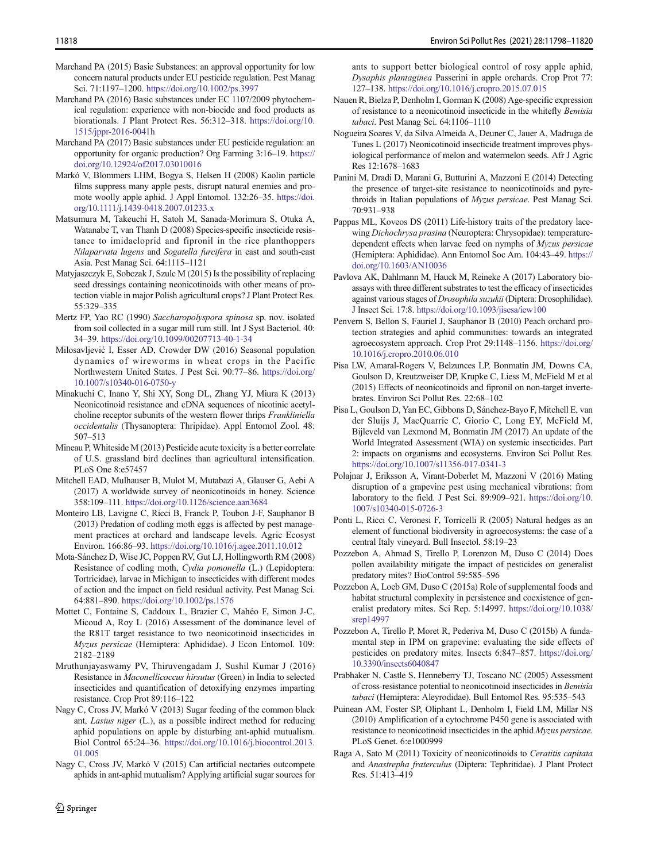- <span id="page-20-0"></span>Marchand PA (2015) Basic Substances: an approval opportunity for low concern natural products under EU pesticide regulation. Pest Manag Sci. 71:1197–1200. <https://doi.org/10.1002/ps.3997>
- Marchand PA (2016) Basic substances under EC 1107/2009 phytochemical regulation: experience with non-biocide and food products as biorationals. J Plant Protect Res. 56:312–318. [https://doi.org/10.](https://doi.org/10.1515/jppr-2016-0041h) [1515/jppr-2016-0041h](https://doi.org/10.1515/jppr-2016-0041h)
- Marchand PA (2017) Basic substances under EU pesticide regulation: an opportunity for organic production? Org Farming 3:16–19. [https://](https://doi.org/10.12924/of2017.03010016) [doi.org/10.12924/of2017.03010016](https://doi.org/10.12924/of2017.03010016)
- Markó V, Blommers LHM, Bogya S, Helsen H (2008) Kaolin particle films suppress many apple pests, disrupt natural enemies and promote woolly apple aphid. J Appl Entomol. 132:26–35. [https://doi.](https://doi.org/10.1111/j.1439-0418.2007.01233.x) [org/10.1111/j.1439-0418.2007.01233.x](https://doi.org/10.1111/j.1439-0418.2007.01233.x)
- Matsumura M, Takeuchi H, Satoh M, Sanada-Morimura S, Otuka A, Watanabe T, van Thanh D (2008) Species-specific insecticide resistance to imidacloprid and fipronil in the rice planthoppers Nilaparvata lugens and Sogatella furcifera in east and south-east Asia. Pest Manag Sci. 64:1115–1121
- Matyjaszczyk E, Sobczak J, Szulc M (2015) Is the possibility of replacing seed dressings containing neonicotinoids with other means of protection viable in major Polish agricultural crops? J Plant Protect Res. 55:329–335
- Mertz FP, Yao RC (1990) Saccharopolyspora spinosa sp. nov. isolated from soil collected in a sugar mill rum still. Int J Syst Bacteriol. 40: 34–39. <https://doi.org/10.1099/00207713-40-1-34>
- Milosavljević I, Esser AD, Crowder DW (2016) Seasonal population dynamics of wireworms in wheat crops in the Pacific Northwestern United States. J Pest Sci. 90:77–86. [https://doi.org/](https://doi.org/10.1007/s10340-016-0750-y) [10.1007/s10340-016-0750-y](https://doi.org/10.1007/s10340-016-0750-y)
- Minakuchi C, Inano Y, Shi XY, Song DL, Zhang YJ, Miura K (2013) Neonicotinoid resistance and cDNA sequences of nicotinic acetylcholine receptor subunits of the western flower thrips Frankliniella occidentalis (Thysanoptera: Thripidae). Appl Entomol Zool. 48: 507–513
- Mineau P, Whiteside M (2013) Pesticide acute toxicity is a better correlate of U.S. grassland bird declines than agricultural intensification. PLoS One 8:e57457
- Mitchell EAD, Mulhauser B, Mulot M, Mutabazi A, Glauser G, Aebi A (2017) A worldwide survey of neonicotinoids in honey. Science 358:109–111. <https://doi.org/10.1126/science.aan3684>
- Monteiro LB, Lavigne C, Ricci B, Franck P, Toubon J-F, Sauphanor B (2013) Predation of codling moth eggs is affected by pest management practices at orchard and landscape levels. Agric Ecosyst Environ. 166:86–93. <https://doi.org/10.1016/j.agee.2011.10.012>
- Mota-Sánchez D, Wise JC, Poppen RV, Gut LJ, Hollingworth RM (2008) Resistance of codling moth, Cydia pomonella (L.) (Lepidoptera: Tortricidae), larvae in Michigan to insecticides with different modes of action and the impact on field residual activity. Pest Manag Sci. 64:881–890. <https://doi.org/10.1002/ps.1576>
- Mottet C, Fontaine S, Caddoux L, Brazier C, Mahéo F, Simon J-C, Micoud A, Roy L (2016) Assessment of the dominance level of the R81T target resistance to two neonicotinoid insecticides in Myzus persicae (Hemiptera: Aphididae). J Econ Entomol. 109: 2182–2189
- Mruthunjayaswamy PV, Thiruvengadam J, Sushil Kumar J (2016) Resistance in Maconellicoccus hirsutus (Green) in India to selected insecticides and quantification of detoxifying enzymes imparting resistance. Crop Prot 89:116–122
- Nagy C, Cross JV, Markó V (2013) Sugar feeding of the common black ant, Lasius niger (L.), as a possible indirect method for reducing aphid populations on apple by disturbing ant-aphid mutualism. Biol Control 65:24–36. [https://doi.org/10.1016/j.biocontrol.2013.](https://doi.org/10.1016/j.biocontrol.2013.01.005) [01.005](https://doi.org/10.1016/j.biocontrol.2013.01.005)
- Nagy C, Cross JV, Markó V (2015) Can artificial nectaries outcompete aphids in ant-aphid mutualism? Applying artificial sugar sources for

Springer

ants to support better biological control of rosy apple aphid, Dysaphis plantaginea Passerini in apple orchards. Crop Prot 77: 127–138. <https://doi.org/10.1016/j.cropro.2015.07.015>

- Nauen R, Bielza P, Denholm I, Gorman K (2008) Age-specific expression of resistance to a neonicotinoid insecticide in the whitefly Bemisia tabaci. Pest Manag Sci. 64:1106–1110
- Nogueira Soares V, da Silva Almeida A, Deuner C, Jauer A, Madruga de Tunes L (2017) Neonicotinoid insecticide treatment improves physiological performance of melon and watermelon seeds. Afr J Agric Res 12:1678–1683
- Panini M, Dradi D, Marani G, Butturini A, Mazzoni E (2014) Detecting the presence of target-site resistance to neonicotinoids and pyrethroids in Italian populations of Myzus persicae. Pest Manag Sci. 70:931–938
- Pappas ML, Koveos DS (2011) Life-history traits of the predatory lacewing Dichochrysa prasina (Neuroptera: Chrysopidae): temperaturedependent effects when larvae feed on nymphs of Myzus persicae (Hemiptera: Aphididae). Ann Entomol Soc Am. 104:43–49. [https://](https://doi.org/10.1603/AN10036) [doi.org/10.1603/AN10036](https://doi.org/10.1603/AN10036)
- Pavlova AK, Dahlmann M, Hauck M, Reineke A (2017) Laboratory bioassays with three different substrates to test the efficacy of insecticides against various stages of Drosophila suzukii (Diptera: Drosophilidae). J Insect Sci. 17:8. <https://doi.org/10.1093/jisesa/iew100>
- Penvern S, Bellon S, Fauriel J, Sauphanor B (2010) Peach orchard protection strategies and aphid communities: towards an integrated agroecosystem approach. Crop Prot 29:1148–1156. [https://doi.org/](https://doi.org/10.1016/j.cropro.2010.06.010) [10.1016/j.cropro.2010.06.010](https://doi.org/10.1016/j.cropro.2010.06.010)
- Pisa LW, Amaral-Rogers V, Belzunces LP, Bonmatin JM, Downs CA, Goulson D, Kreutzweiser DP, Krupke C, Liess M, McField M et al (2015) Effects of neonicotinoids and fipronil on non-target invertebrates. Environ Sci Pollut Res. 22:68–102
- Pisa L, Goulson D, Yan EC, Gibbons D, Sánchez-Bayo F, Mitchell E, van der Sluijs J, MacQuarrie C, Giorio C, Long EY, McField M, Bijleveld van Lexmond M, Bonmatin JM (2017) An update of the World Integrated Assessment (WIA) on systemic insecticides. Part 2: impacts on organisms and ecosystems. Environ Sci Pollut Res. <https://doi.org/10.1007/s11356-017-0341-3>
- Polajnar J, Eriksson A, Virant-Doberlet M, Mazzoni V (2016) Mating disruption of a grapevine pest using mechanical vibrations: from laboratory to the field. J Pest Sci. 89:909–921. [https://doi.org/10.](https://doi.org/10.1007/s10340-015-0726-3) [1007/s10340-015-0726-3](https://doi.org/10.1007/s10340-015-0726-3)
- Ponti L, Ricci C, Veronesi F, Torricelli R (2005) Natural hedges as an element of functional biodiversity in agroecosystems: the case of a central Italy vineyard. Bull Insectol. 58:19–23
- Pozzebon A, Ahmad S, Tirello P, Lorenzon M, Duso C (2014) Does pollen availability mitigate the impact of pesticides on generalist predatory mites? BioControl 59:585–596
- Pozzebon A, Loeb GM, Duso C (2015a) Role of supplemental foods and habitat structural complexity in persistence and coexistence of generalist predatory mites. Sci Rep. 5:14997. [https://doi.org/10.1038/](https://doi.org/10.1038/srep14997) [srep14997](https://doi.org/10.1038/srep14997)
- Pozzebon A, Tirello P, Moret R, Pederiva M, Duso C (2015b) A fundamental step in IPM on grapevine: evaluating the side effects of pesticides on predatory mites. Insects 6:847–857. [https://doi.org/](https://doi.org/10.3390/insects6040847) [10.3390/insects6040847](https://doi.org/10.3390/insects6040847)
- Prabhaker N, Castle S, Henneberry TJ, Toscano NC (2005) Assessment of cross-resistance potential to neonicotinoid insecticides in Bemisia tabaci (Hemiptera: Aleyrodidae). Bull Entomol Res. 95:535–543
- Puinean AM, Foster SP, Oliphant L, Denholm I, Field LM, Millar NS (2010) Amplification of a cytochrome P450 gene is associated with resistance to neonicotinoid insecticides in the aphid Myzus persicae. PLoS Genet. 6:e1000999
- Raga A, Sato M (2011) Toxicity of neonicotinoids to Ceratitis capitata and Anastrepha fraterculus (Diptera: Tephritidae). J Plant Protect Res. 51:413–419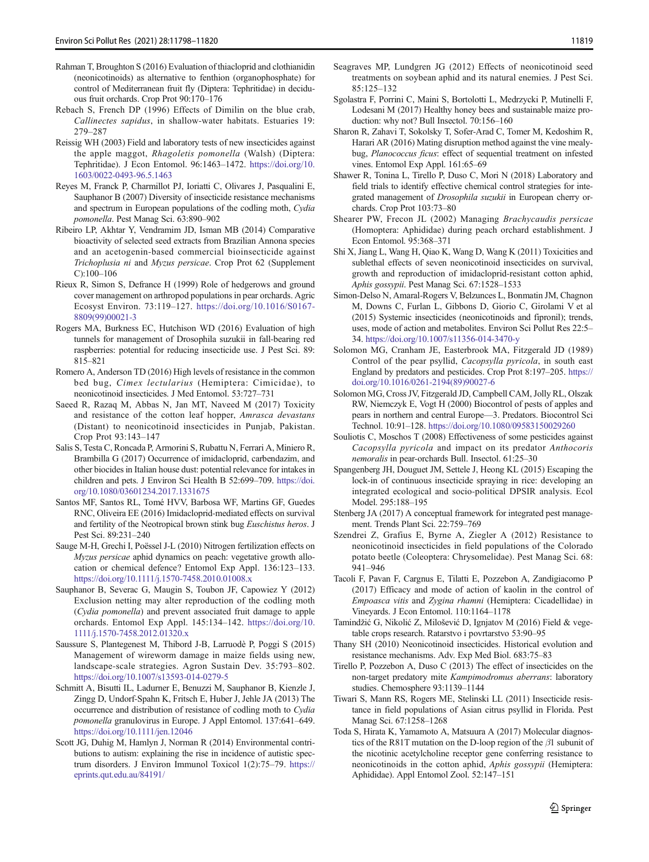- <span id="page-21-0"></span>Rahman T, Broughton S (2016) Evaluation of thiacloprid and clothianidin (neonicotinoids) as alternative to fenthion (organophosphate) for control of Mediterranean fruit fly (Diptera: Tephritidae) in deciduous fruit orchards. Crop Prot 90:170–176
- Rebach S, French DP (1996) Effects of Dimilin on the blue crab, Callinectes sapidus, in shallow-water habitats. Estuaries 19: 279–287
- Reissig WH (2003) Field and laboratory tests of new insecticides against the apple maggot, Rhagoletis pomonella (Walsh) (Diptera: Tephritidae). J Econ Entomol. 96:1463–1472. [https://doi.org/10.](https://doi.org/10.1603/0022-0493-96.5.1463) [1603/0022-0493-96.5.1463](https://doi.org/10.1603/0022-0493-96.5.1463)
- Reyes M, Franck P, Charmillot PJ, Ioriatti C, Olivares J, Pasqualini E, Sauphanor B (2007) Diversity of insecticide resistance mechanisms and spectrum in European populations of the codling moth, Cydia pomonella. Pest Manag Sci. 63:890–902
- Ribeiro LP, Akhtar Y, Vendramim JD, Isman MB (2014) Comparative bioactivity of selected seed extracts from Brazilian Annona species and an acetogenin-based commercial bioinsecticide against Trichoplusia ni and Myzus persicae. Crop Prot 62 (Supplement C):100–106
- Rieux R, Simon S, Defrance H (1999) Role of hedgerows and ground cover management on arthropod populations in pear orchards. Agric Ecosyst Environ. 73:119–127. [https://doi.org/10.1016/S0167-](https://doi.org/10.1016/S0167-8809(99)00021-3) [8809\(99\)00021-3](https://doi.org/10.1016/S0167-8809(99)00021-3)
- Rogers MA, Burkness EC, Hutchison WD (2016) Evaluation of high tunnels for management of Drosophila suzukii in fall-bearing red raspberries: potential for reducing insecticide use. J Pest Sci. 89: 815–821
- Romero A, Anderson TD (2016) High levels of resistance in the common bed bug, Cimex lectularius (Hemiptera: Cimicidae), to neonicotinoid insecticides. J Med Entomol. 53:727–731
- Saeed R, Razaq M, Abbas N, Jan MT, Naveed M (2017) Toxicity and resistance of the cotton leaf hopper, Amrasca devastans (Distant) to neonicotinoid insecticides in Punjab, Pakistan. Crop Prot 93:143–147
- Salis S, Testa C, Roncada P, Armorini S, Rubattu N, Ferrari A, Miniero R, Brambilla G (2017) Occurrence of imidacloprid, carbendazim, and other biocides in Italian house dust: potential relevance for intakes in children and pets. J Environ Sci Health B 52:699–709. [https://doi.](https://doi.org/10.1080/03601234.2017.1331675) [org/10.1080/03601234.2017.1331675](https://doi.org/10.1080/03601234.2017.1331675)
- Santos MF, Santos RL, Tomé HVV, Barbosa WF, Martins GF, Guedes RNC, Oliveira EE (2016) Imidacloprid-mediated effects on survival and fertility of the Neotropical brown stink bug Euschistus heros. J Pest Sci. 89:231–240
- Sauge M-H, Grechi I, Poëssel J-L (2010) Nitrogen fertilization effects on Myzus persicae aphid dynamics on peach: vegetative growth allocation or chemical defence? Entomol Exp Appl. 136:123–133. <https://doi.org/10.1111/j.1570-7458.2010.01008.x>
- Sauphanor B, Severac G, Maugin S, Toubon JF, Capowiez Y (2012) Exclusion netting may alter reproduction of the codling moth (Cydia pomonella) and prevent associated fruit damage to apple orchards. Entomol Exp Appl. 145:134–142. [https://doi.org/10.](https://doi.org/10.1111/j.1570-7458.2012.01320.x) [1111/j.1570-7458.2012.01320.x](https://doi.org/10.1111/j.1570-7458.2012.01320.x)
- Saussure S, Plantegenest M, Thibord J-B, Larruodè P, Poggi S (2015) Management of wireworm damage in maize fields using new, landscape-scale strategies. Agron Sustain Dev. 35:793–802. <https://doi.org/10.1007/s13593-014-0279-5>
- Schmitt A, Bisutti IL, Ladurner E, Benuzzi M, Sauphanor B, Kienzle J, Zingg D, Undorf-Spahn K, Fritsch E, Huber J, Jehle JA (2013) The occurrence and distribution of resistance of codling moth to Cydia pomonella granulovirus in Europe. J Appl Entomol. 137:641–649. <https://doi.org/10.1111/jen.12046>
- Scott JG, Duhig M, Hamlyn J, Norman R (2014) Environmental contributions to autism: explaining the rise in incidence of autistic spectrum disorders. J Environ Immunol Toxicol 1(2):75–79. [https://](https://eprints.qut.edu.au/84191/) [eprints.qut.edu.au/84191/](https://eprints.qut.edu.au/84191/)
- Seagraves MP, Lundgren JG (2012) Effects of neonicotinoid seed treatments on soybean aphid and its natural enemies. J Pest Sci. 85:125–132
- Sgolastra F, Porrini C, Maini S, Bortolotti L, Medrzycki P, Mutinelli F, Lodesani M (2017) Healthy honey bees and sustainable maize production: why not? Bull Insectol. 70:156–160
- Sharon R, Zahavi T, Sokolsky T, Sofer-Arad C, Tomer M, Kedoshim R, Harari AR (2016) Mating disruption method against the vine mealybug, Planococcus ficus: effect of sequential treatment on infested vines. Entomol Exp Appl. 161:65–69
- Shawer R, Tonina L, Tirello P, Duso C, Mori N (2018) Laboratory and field trials to identify effective chemical control strategies for integrated management of Drosophila suzukii in European cherry orchards. Crop Prot 103:73–80
- Shearer PW, Frecon JL (2002) Managing Brachycaudis persicae (Homoptera: Aphididae) during peach orchard establishment. J Econ Entomol. 95:368–371
- Shi X, Jiang L, Wang H, Qiao K, Wang D, Wang K (2011) Toxicities and sublethal effects of seven neonicotinoid insecticides on survival, growth and reproduction of imidacloprid-resistant cotton aphid, Aphis gossypii. Pest Manag Sci. 67:1528–1533
- Simon-Delso N, Amaral-Rogers V, Belzunces L, Bonmatin JM, Chagnon M, Downs C, Furlan L, Gibbons D, Giorio C, Girolami V et al (2015) Systemic insecticides (neonicotinoids and fipronil); trends, uses, mode of action and metabolites. Environ Sci Pollut Res 22:5– 34. <https://doi.org/10.1007/s11356-014-3470-y>
- Solomon MG, Cranham JE, Easterbrook MA, Fitzgerald JD (1989) Control of the pear psyllid, Cacopsylla pyricola, in south east England by predators and pesticides. Crop Prot 8:197–205. [https://](https://doi.org/10.1016/0261-2194(89)90027-6) [doi.org/10.1016/0261-2194\(89\)90027-6](https://doi.org/10.1016/0261-2194(89)90027-6)
- Solomon MG, Cross JV, Fitzgerald JD, Campbell CAM, Jolly RL, Olszak RW, Niemczyk E, Vogt H (2000) Biocontrol of pests of apples and pears in northern and central Europe—3. Predators. Biocontrol Sci Technol. 10:91–128. <https://doi.org/10.1080/09583150029260>
- Souliotis C, Moschos T (2008) Effectiveness of some pesticides against Cacopsylla pyricola and impact on its predator Anthocoris nemoralis in pear-orchards Bull. Insectol. 61:25–30
- Spangenberg JH, Douguet JM, Settele J, Heong KL (2015) Escaping the lock-in of continuous insecticide spraying in rice: developing an integrated ecological and socio-political DPSIR analysis. Ecol Model. 295:188–195
- Stenberg JA (2017) A conceptual framework for integrated pest management. Trends Plant Sci. 22:759–769
- Szendrei Z, Grafius E, Byrne A, Ziegler A (2012) Resistance to neonicotinoid insecticides in field populations of the Colorado potato beetle (Coleoptera: Chrysomelidae). Pest Manag Sci. 68: 941–946
- Tacoli F, Pavan F, Cargnus E, Tilatti E, Pozzebon A, Zandigiacomo P (2017) Efficacy and mode of action of kaolin in the control of Empoasca vitis and Zygina rhamni (Hemiptera: Cicadellidae) in Vineyards. J Econ Entomol. 110:1164–1178
- Tamindžić G, Nikolić Z, Milošević D, Ignjatov M (2016) Field & vegetable crops research. Ratarstvo i povrtarstvo 53:90–95
- Thany SH (2010) Neonicotinoid insecticides. Historical evolution and resistance mechanisms. Adv. Exp Med Biol. 683:75–83
- Tirello P, Pozzebon A, Duso C (2013) The effect of insecticides on the non-target predatory mite Kampimodromus aberrans: laboratory studies. Chemosphere 93:1139–1144
- Tiwari S, Mann RS, Rogers ME, Stelinski LL (2011) Insecticide resistance in field populations of Asian citrus psyllid in Florida. Pest Manag Sci. 67:1258–1268
- Toda S, Hirata K, Yamamoto A, Matsuura A (2017) Molecular diagnostics of the R81T mutation on the D-loop region of the β1 subunit of the nicotinic acetylcholine receptor gene conferring resistance to neonicotinoids in the cotton aphid, Aphis gossypii (Hemiptera: Aphididae). Appl Entomol Zool. 52:147–151